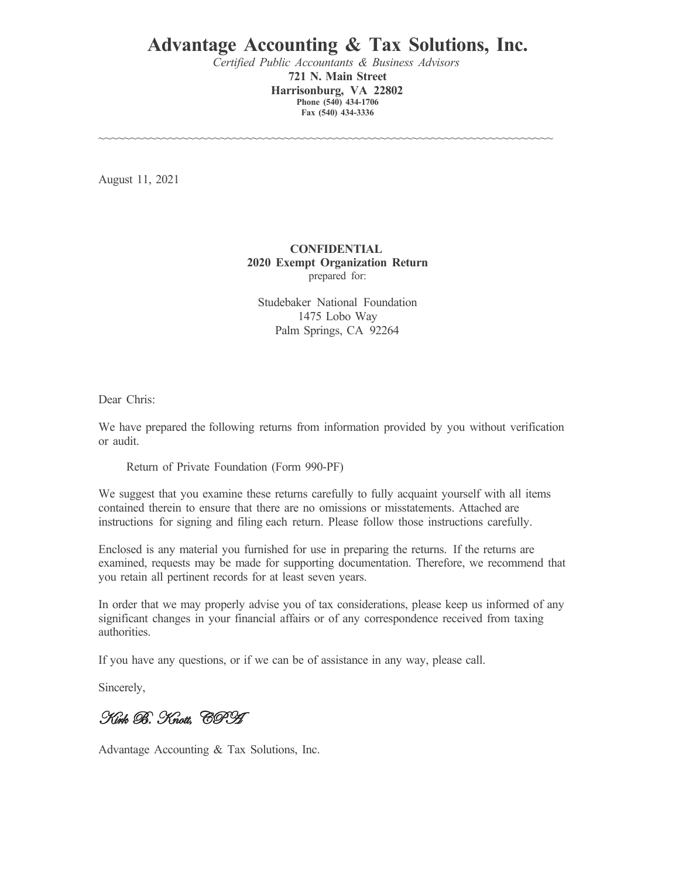# **Advantage Accounting & Tax Solutions, Inc.**

*Certified Public Accountants & Business Advisors* **721 N. Main Street Harrisonburg, VA 22802 Phone (540) 434-1706 Fax (540) 434-3336**

~~~~~~~~~~~~~~~~~~~~~~~~~~~~~~~~~~~~~~~~~~~~~~~~~~~~~~~~~~~~~~~~~~~~~~~

August 11, 2021

#### **CONFIDENTIAL 2020 Exempt Organization Return** prepared for:

Studebaker National Foundation 1475 Lobo Way Palm Springs, CA 92264

Dear Chris:

We have prepared the following returns from information provided by you without verification or audit.

Return of Private Foundation (Form 990-PF)

We suggest that you examine these returns carefully to fully acquaint yourself with all items contained therein to ensure that there are no omissions or misstatements. Attached are instructions for signing and filing each return. Please follow those instructions carefully.

Enclosed is any material you furnished for use in preparing the returns. If the returns are examined, requests may be made for supporting documentation. Therefore, we recommend that you retain all pertinent records for at least seven years.

In order that we may properly advise you of tax considerations, please keep us informed of any significant changes in your financial affairs or of any correspondence received from taxing authorities.

If you have any questions, or if we can be of assistance in any way, please call.

Sincerely,

Kirk B. Knott, CPA

Advantage Accounting & Tax Solutions, Inc.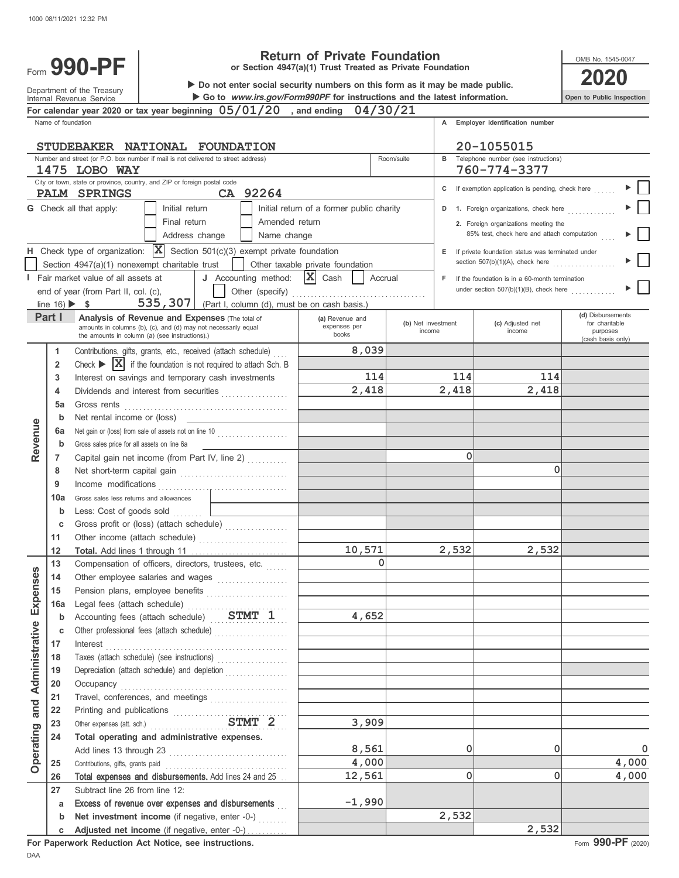

Department of the Treasury<br>Internal Revenue Service

# **Return of Private Foundation**

**or Section 4947(a)(1) Trust Treated as Private Foundation**

▶ Go to www.irs.gov/Form990PF for instructions and the latest information. **990-PF**<br> **1990-PF** or Section 4947(a)(1) Trust Treated as Private Foundation<br> **2020** <br> **1** Do not enter social security numbers on this form as it may be made public.

**Open to Public Inspection**

OMB No. 1545-0047

|                |                                 | For calendar year 2020 or tax year beginning $05/01/20$ , and ending $04/30/21$                      |                                           |                              |       |                                                              |                            |
|----------------|---------------------------------|------------------------------------------------------------------------------------------------------|-------------------------------------------|------------------------------|-------|--------------------------------------------------------------|----------------------------|
|                | Name of foundation              |                                                                                                      |                                           |                              | A     | Employer identification number                               |                            |
|                |                                 |                                                                                                      |                                           |                              |       |                                                              |                            |
|                |                                 | STUDEBAKER NATIONAL FOUNDATION                                                                       | 20-1055015                                |                              |       |                                                              |                            |
|                |                                 | Number and street (or P.O. box number if mail is not delivered to street address)<br>1475 LOBO WAY   |                                           | Room/suite                   |       | <b>B</b> Telephone number (see instructions)<br>760-774-3377 |                            |
|                |                                 | City or town, state or province, country, and ZIP or foreign postal code                             |                                           |                              |       |                                                              |                            |
|                |                                 | CA 92264<br><b>PALM SPRINGS</b>                                                                      |                                           |                              |       | C If exemption application is pending, check here            |                            |
|                |                                 | <b>G</b> Check all that apply:<br>Initial return                                                     | Initial return of a former public charity |                              | D     | 1. Foreign organizations, check here                         |                            |
|                |                                 | Final return<br>Amended return                                                                       |                                           |                              |       | 2. Foreign organizations meeting the                         |                            |
|                |                                 | Address change<br>Name change                                                                        |                                           |                              |       | 85% test, check here and attach computation                  |                            |
|                |                                 | H Check type of organization: $ \mathbf{X} $ Section 501(c)(3) exempt private foundation             |                                           |                              |       | E If private foundation status was terminated under          |                            |
|                |                                 | Section 4947(a)(1) nonexempt charitable trust                                                        | Other taxable private foundation          |                              |       | section $507(b)(1)(A)$ , check here                          |                            |
|                |                                 | J Accounting method:<br>I Fair market value of all assets at                                         | $ \mathbf{X} $ Cash<br>Accrual            |                              |       | <b>F</b> If the foundation is in a 60-month termination      |                            |
|                |                                 | Other (specify)<br>end of year (from Part II, col. (c),                                              |                                           |                              |       | under section $507(b)(1)(B)$ , check here                    |                            |
|                | line $16$ ) $\triangleright$ \$ | 535,307<br>(Part I, column (d), must be on cash basis.)                                              |                                           |                              |       |                                                              |                            |
|                | Part I                          | <b>Analysis of Revenue and Expenses (The total of</b>                                                | (a) Revenue and                           |                              |       |                                                              | (d) Disbursements          |
|                |                                 | amounts in columns (b), (c), and (d) may not necessarily equal                                       | expenses per                              | (b) Net investment<br>income |       | (c) Adjusted net<br>income                                   | for charitable<br>purposes |
|                |                                 | the amounts in column (a) (see instructions).)                                                       | books                                     |                              |       |                                                              | (cash basis only)          |
|                | 1                               | Contributions, gifts, grants, etc., received (attach schedule)                                       | 8,039                                     |                              |       |                                                              |                            |
|                | $\overline{2}$                  | Check $\triangleright$ $\vert X \vert$ if the foundation is not required to attach Sch. B            |                                           |                              |       |                                                              |                            |
|                | 3                               | Interest on savings and temporary cash investments                                                   | 114                                       |                              | 114   | 114                                                          |                            |
|                | 4                               | Dividends and interest from securities<br>.                                                          | 2,418                                     |                              | 2,418 | 2,418                                                        |                            |
|                | 5a                              | Gross rents                                                                                          |                                           |                              |       |                                                              |                            |
|                | b                               | Net rental income or (loss)                                                                          |                                           |                              |       |                                                              |                            |
| Revenue        | 6а<br>b                         | Net gain or (loss) from sale of assets not on line 10<br>Gross sales price for all assets on line 6a |                                           |                              |       |                                                              |                            |
|                |                                 | Capital gain net income (from Part IV, line 2)                                                       |                                           |                              | 0     |                                                              |                            |
|                | 7<br>8                          |                                                                                                      |                                           |                              |       | $\Omega$                                                     |                            |
|                | 9                               | Income modifications                                                                                 |                                           |                              |       |                                                              |                            |
|                | 10a                             | Gross sales less returns and allowances                                                              |                                           |                              |       |                                                              |                            |
|                | b                               | Less: Cost of goods sold                                                                             |                                           |                              |       |                                                              |                            |
|                | c                               | .<br>Gross profit or (loss) (attach schedule)                                                        |                                           |                              |       |                                                              |                            |
|                | 11                              |                                                                                                      |                                           |                              |       |                                                              |                            |
|                | 12                              | Total. Add lines 1 through 11                                                                        | 10,571                                    |                              | 2,532 | 2,532                                                        |                            |
|                | 13                              | Compensation of officers, directors, trustees, etc.                                                  | $\Omega$                                  |                              |       |                                                              |                            |
| enses          | 14                              | Other employee salaries and wages                                                                    |                                           |                              |       |                                                              |                            |
|                | 15                              | Pension plans, employee benefits                                                                     |                                           |                              |       |                                                              |                            |
| ĚΧ             | 16a                             | Legal fees (attach schedule)                                                                         |                                           |                              |       |                                                              |                            |
|                | b                               | Accounting fees (attach schedule) STMT 1                                                             | 4,652                                     |                              |       |                                                              |                            |
|                | c                               | Other professional fees (attach schedule)                                                            |                                           |                              |       |                                                              |                            |
|                | 17                              | Interest                                                                                             |                                           |                              |       |                                                              |                            |
|                | 18                              | Taxes (attach schedule) (see instructions)<br>.                                                      |                                           |                              |       |                                                              |                            |
|                | 19                              | Depreciation (attach schedule) and depletion<br>.                                                    |                                           |                              |       |                                                              |                            |
| Administrative | 20                              | Occupancy                                                                                            |                                           |                              |       |                                                              |                            |
| and            | 21                              | Travel, conferences, and meetings                                                                    |                                           |                              |       |                                                              |                            |
|                | 22                              | STMT 2                                                                                               |                                           |                              |       |                                                              |                            |
|                | 23                              | Other expenses (att. sch.)                                                                           | 3,909                                     |                              |       |                                                              |                            |
|                | 24                              | Total operating and administrative expenses.                                                         | 8,561                                     |                              | 0     | 0                                                            | $\mathbf 0$                |
| Operating      | 25                              | Add lines 13 through 23<br>Contributions, gifts, grants paid                                         | 4,000                                     |                              |       |                                                              | 4,000                      |
|                | 26                              | Total expenses and disbursements. Add lines 24 and 25                                                | 12,561                                    |                              | 0     | $\mathbf 0$                                                  | 4,000                      |
|                | 27                              | Subtract line 26 from line 12:                                                                       |                                           |                              |       |                                                              |                            |
|                | а                               | Excess of revenue over expenses and disbursements                                                    | $-1,990$                                  |                              |       |                                                              |                            |
|                | b                               | Net investment income (if negative, enter -0-)                                                       |                                           |                              | 2,532 |                                                              |                            |
|                |                                 | Adjusted net income (if negative, enter -0-)                                                         |                                           |                              |       | 2,532                                                        |                            |

**For Paperwork Reduction Act Notice, see instructions.**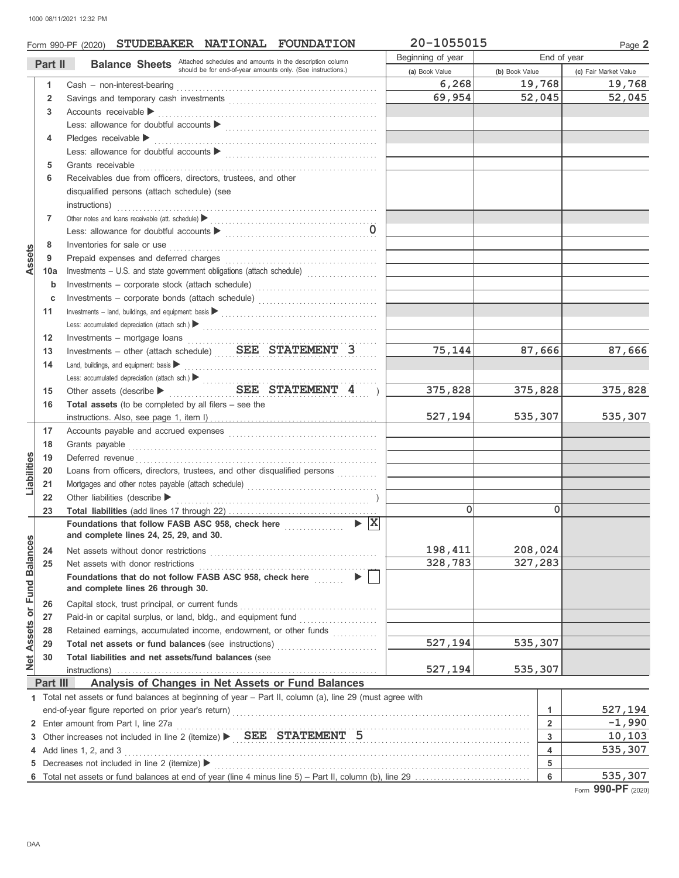|                                                                                           |                | Form 990-PF (2020) STUDEBAKER NATIONAL FOUNDATION                                                                                                                                                                                                  | 20-1055015     |                              | Page 2                |
|-------------------------------------------------------------------------------------------|----------------|----------------------------------------------------------------------------------------------------------------------------------------------------------------------------------------------------------------------------------------------------|----------------|------------------------------|-----------------------|
| <b>Balance Sheets</b> Attached schedules and amounts in the description column<br>Part II |                | Beginning of year                                                                                                                                                                                                                                  | End of year    |                              |                       |
|                                                                                           |                | should be for end-of-year amounts only. (See instructions.)                                                                                                                                                                                        | (a) Book Value | (b) Book Value               | (c) Fair Market Value |
|                                                                                           | $\mathbf{1}$   |                                                                                                                                                                                                                                                    | 6,268          | 19,768                       | 19,768                |
|                                                                                           | $\overline{2}$ |                                                                                                                                                                                                                                                    | 69,954         | 52,045                       | 52,045                |
|                                                                                           | 3              | Accounts receivable                                                                                                                                                                                                                                |                |                              |                       |
|                                                                                           |                |                                                                                                                                                                                                                                                    |                |                              |                       |
|                                                                                           | 4              | Pledges receivable                                                                                                                                                                                                                                 |                |                              |                       |
|                                                                                           |                |                                                                                                                                                                                                                                                    |                |                              |                       |
|                                                                                           | 5              | Grants receivable                                                                                                                                                                                                                                  |                |                              |                       |
|                                                                                           | 6              | Receivables due from officers, directors, trustees, and other                                                                                                                                                                                      |                |                              |                       |
|                                                                                           |                | disqualified persons (attach schedule) (see                                                                                                                                                                                                        |                |                              |                       |
|                                                                                           |                | $\textit{instructions)} \underbrace{\hspace{1.5cm}}_{\hspace{1.5cm}\textit{instructions}}\hspace{1.5cm}\underbrace{\hspace{1.5cm}}_{\hspace{1.5cm}\textit{instructions}}\hspace{1.5cm}\underbrace{\hspace{1.5cm}}_{\hspace{1.5cm}\textit{insurv}}$ |                |                              |                       |
|                                                                                           | 7              | Other notes and loans receivable (att. schedule) <b>Definition</b> contains a contained by the set of the set of the set of the set of the set of the set of the set of the set of the set of the set of the set of the set of the                 |                |                              |                       |
|                                                                                           |                |                                                                                                                                                                                                                                                    |                |                              |                       |
|                                                                                           | 8              | Inventories for sale or use contained and a series of the state of the state of the state of the state of the                                                                                                                                      |                |                              |                       |
| Assets                                                                                    | 9              |                                                                                                                                                                                                                                                    |                |                              |                       |
|                                                                                           | 10a            | Investments - U.S. and state government obligations (attach schedule)                                                                                                                                                                              |                |                              |                       |
|                                                                                           | $\mathbf b$    | Investments - corporate stock (attach schedule)                                                                                                                                                                                                    |                |                              |                       |
|                                                                                           | c              | Investments - corporate bonds (attach schedule)                                                                                                                                                                                                    |                |                              |                       |
|                                                                                           | 11             | $Inves the first - land, building, and equipment: basis \triangleright$                                                                                                                                                                            |                |                              |                       |
|                                                                                           |                |                                                                                                                                                                                                                                                    |                |                              |                       |
|                                                                                           | 12             | Investments - mortgage loans                                                                                                                                                                                                                       |                |                              |                       |
|                                                                                           | 13             | Investments - other (attach schedule) SEE STATEMENT 3                                                                                                                                                                                              | 75,144         | 87,666                       | 87,666                |
|                                                                                           | 14             | Land, buildings, and equipment: basis $\blacktriangleright$                                                                                                                                                                                        |                |                              |                       |
|                                                                                           |                |                                                                                                                                                                                                                                                    |                |                              |                       |
|                                                                                           | 15             | SEE STATEMENT 4 )                                                                                                                                                                                                                                  | 375,828        | 375,828                      | 375,828               |
|                                                                                           | 16             | <b>Total assets</b> (to be completed by all filers $-$ see the                                                                                                                                                                                     |                |                              |                       |
|                                                                                           |                |                                                                                                                                                                                                                                                    | 527,194        | 535,307                      | 535,307               |
|                                                                                           | 17             |                                                                                                                                                                                                                                                    |                |                              |                       |
|                                                                                           | 18             |                                                                                                                                                                                                                                                    |                |                              |                       |
| Liabilities                                                                               | 19             | Deferred revenue communications and contain a series of the contact of the contact of the contact of the contact of the contact of the contact of the contact of the contact of the contact of the contact of the contact of t                     |                |                              |                       |
|                                                                                           | 20             | Loans from officers, directors, trustees, and other disqualified persons                                                                                                                                                                           |                |                              |                       |
|                                                                                           | 21             |                                                                                                                                                                                                                                                    |                |                              |                       |
|                                                                                           | 22             | Other liabilities (describe $\blacktriangleright$                                                                                                                                                                                                  |                |                              |                       |
|                                                                                           | 23             |                                                                                                                                                                                                                                                    | $\mathbf{0}$   | 0                            |                       |
|                                                                                           |                | $\blacktriangleright$ $\vert$ X $\vert$<br>Foundations that follow FASB ASC 958, check here <b>constrained</b>                                                                                                                                     |                |                              |                       |
|                                                                                           |                | and complete lines 24, 25, 29, and 30.                                                                                                                                                                                                             |                |                              |                       |
| Net Assets or Fund Balances                                                               | 24             | Net assets without donor restrictions                                                                                                                                                                                                              | 198,411        | 208,024                      |                       |
|                                                                                           | 25             | Net assets with donor restrictions                                                                                                                                                                                                                 | 328,783        | 327,283                      |                       |
|                                                                                           |                | $\blacktriangleright$<br>Foundations that do not follow FASB ASC 958, check here<br>and complete lines 26 through 30.                                                                                                                              |                |                              |                       |
|                                                                                           |                |                                                                                                                                                                                                                                                    |                |                              |                       |
|                                                                                           | 26             | Capital stock, trust principal, or current funds                                                                                                                                                                                                   |                |                              |                       |
|                                                                                           | 27             |                                                                                                                                                                                                                                                    |                |                              |                       |
|                                                                                           | 28             | Retained earnings, accumulated income, endowment, or other funds                                                                                                                                                                                   |                |                              |                       |
|                                                                                           | 29             | Total net assets or fund balances (see instructions)                                                                                                                                                                                               | 527,194        | 535,307                      |                       |
|                                                                                           | 30             | Total liabilities and net assets/fund balances (see                                                                                                                                                                                                |                |                              |                       |
|                                                                                           |                | instructions)                                                                                                                                                                                                                                      | 527,194        | 535,307                      |                       |
|                                                                                           | Part III       | Analysis of Changes in Net Assets or Fund Balances                                                                                                                                                                                                 |                |                              |                       |
|                                                                                           |                | 1 Total net assets or fund balances at beginning of year - Part II, column (a), line 29 (must agree with                                                                                                                                           |                |                              |                       |
|                                                                                           |                |                                                                                                                                                                                                                                                    |                | 1                            | 527,194               |
|                                                                                           |                | 2 Enter amount from Part I, line 27a                                                                                                                                                                                                               |                | $\overline{2}$               | $-1,990$              |
|                                                                                           |                |                                                                                                                                                                                                                                                    |                | 3<br>$\overline{\mathbf{4}}$ | 10, 103               |
| 4 Add lines 1, 2, and 3                                                                   |                |                                                                                                                                                                                                                                                    |                |                              | 535,307               |
| 5                                                                                         |                | Decreases not included in line 2 (itemize) ▶                                                                                                                                                                                                       |                | 5<br>6                       | 535,307               |
|                                                                                           |                |                                                                                                                                                                                                                                                    |                |                              | 0.0000                |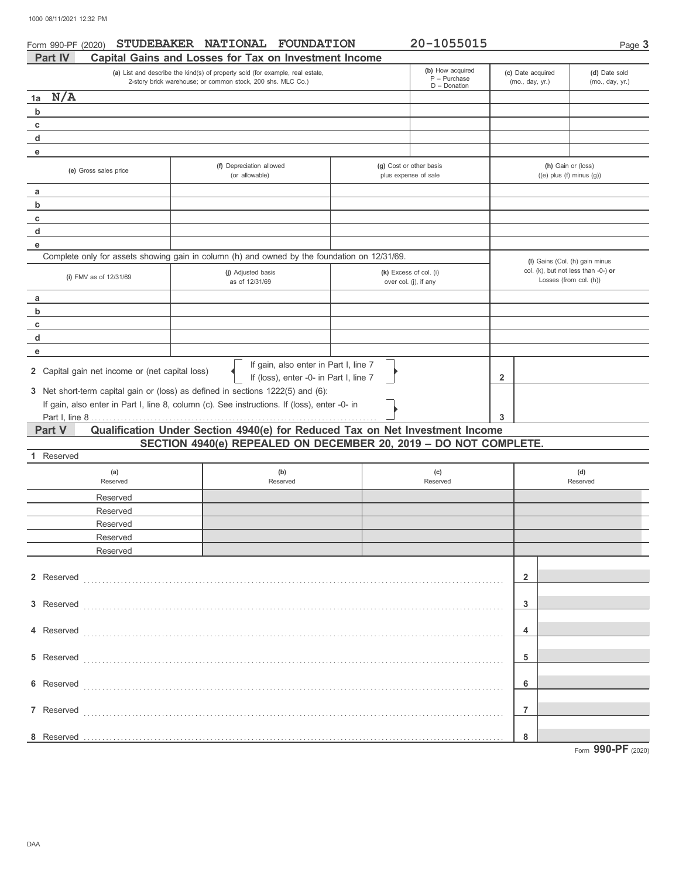| Form 990-PF (2020)<br>Part IV                                                                                                                | STUDEBAKER NATIONAL FOUNDATION<br>Capital Gains and Losses for Tax on Investment Income      | 20-1055015                                      |                                  | Page 3                                                                                          |
|----------------------------------------------------------------------------------------------------------------------------------------------|----------------------------------------------------------------------------------------------|-------------------------------------------------|----------------------------------|-------------------------------------------------------------------------------------------------|
| (a) List and describe the kind(s) of property sold (for example, real estate,<br>2-story brick warehouse; or common stock, 200 shs. MLC Co.) | (b) How acquired<br>$P - Purchase$<br>$D$ – Donation                                         | (c) Date acquired<br>(mo., day, yr.)            | (d) Date sold<br>(mo., day, yr.) |                                                                                                 |
| N/A<br>1a                                                                                                                                    |                                                                                              |                                                 |                                  |                                                                                                 |
| b                                                                                                                                            |                                                                                              |                                                 |                                  |                                                                                                 |
| c                                                                                                                                            |                                                                                              |                                                 |                                  |                                                                                                 |
| d                                                                                                                                            |                                                                                              |                                                 |                                  |                                                                                                 |
| е                                                                                                                                            |                                                                                              |                                                 |                                  |                                                                                                 |
| (e) Gross sales price                                                                                                                        | (f) Depreciation allowed<br>(or allowable)                                                   | (g) Cost or other basis<br>plus expense of sale |                                  | (h) Gain or (loss)<br>$((e)$ plus $(f)$ minus $(g)$ )                                           |
| а                                                                                                                                            |                                                                                              |                                                 |                                  |                                                                                                 |
| b                                                                                                                                            |                                                                                              |                                                 |                                  |                                                                                                 |
| c                                                                                                                                            |                                                                                              |                                                 |                                  |                                                                                                 |
| d                                                                                                                                            |                                                                                              |                                                 |                                  |                                                                                                 |
| e                                                                                                                                            |                                                                                              |                                                 |                                  |                                                                                                 |
|                                                                                                                                              | Complete only for assets showing gain in column (h) and owned by the foundation on 12/31/69. |                                                 |                                  |                                                                                                 |
| (i) FMV as of 12/31/69                                                                                                                       | (j) Adjusted basis<br>as of 12/31/69                                                         | (k) Excess of col. (i)<br>over col. (j), if any |                                  | (I) Gains (Col. (h) gain minus<br>col. (k), but not less than -0-) or<br>Losses (from col. (h)) |
| а                                                                                                                                            |                                                                                              |                                                 |                                  |                                                                                                 |
| b                                                                                                                                            |                                                                                              |                                                 |                                  |                                                                                                 |
| c                                                                                                                                            |                                                                                              |                                                 |                                  |                                                                                                 |
| d                                                                                                                                            |                                                                                              |                                                 |                                  |                                                                                                 |
| е                                                                                                                                            |                                                                                              |                                                 |                                  |                                                                                                 |
| 2 Capital gain net income or (net capital loss)                                                                                              | If gain, also enter in Part I, line 7<br>If (loss), enter -0- in Part I, line 7              |                                                 | 2                                |                                                                                                 |
|                                                                                                                                              | 3 Net short-term capital gain or (loss) as defined in sections 1222(5) and (6):              |                                                 |                                  |                                                                                                 |
|                                                                                                                                              | If gain, also enter in Part I, line 8, column (c). See instructions. If (loss), enter -0- in |                                                 |                                  |                                                                                                 |
|                                                                                                                                              |                                                                                              |                                                 | 3                                |                                                                                                 |
| Part V                                                                                                                                       | Qualification Under Section 4940(e) for Reduced Tax on Net Investment Income                 |                                                 |                                  |                                                                                                 |
|                                                                                                                                              | SECTION 4940(e) REPEALED ON DECEMBER 20, 2019 - DO NOT COMPLETE.                             |                                                 |                                  |                                                                                                 |
| 1 Reserved                                                                                                                                   |                                                                                              |                                                 |                                  |                                                                                                 |
| (a)<br>Reserved                                                                                                                              | (b)<br>Reserved                                                                              | (c)<br>Reserved                                 |                                  | (d)<br>Reserved                                                                                 |
|                                                                                                                                              |                                                                                              |                                                 |                                  |                                                                                                 |
| Reserved<br>Reserved                                                                                                                         |                                                                                              |                                                 |                                  |                                                                                                 |
|                                                                                                                                              |                                                                                              |                                                 |                                  |                                                                                                 |
| Reserved                                                                                                                                     |                                                                                              |                                                 |                                  |                                                                                                 |
| Reserved                                                                                                                                     |                                                                                              |                                                 |                                  |                                                                                                 |
| Reserved                                                                                                                                     |                                                                                              |                                                 |                                  |                                                                                                 |
| 2 Reserved                                                                                                                                   |                                                                                              |                                                 | $\overline{\mathbf{2}}$          |                                                                                                 |
|                                                                                                                                              |                                                                                              |                                                 |                                  |                                                                                                 |
| 3 Reserved                                                                                                                                   |                                                                                              |                                                 | 3                                |                                                                                                 |
| 4 Reserved                                                                                                                                   |                                                                                              |                                                 | 4                                |                                                                                                 |
|                                                                                                                                              |                                                                                              |                                                 |                                  |                                                                                                 |
| 5 Reserved                                                                                                                                   |                                                                                              |                                                 | 5                                |                                                                                                 |
| 6 Reserved                                                                                                                                   |                                                                                              |                                                 | 6                                |                                                                                                 |
| 7 Reserved                                                                                                                                   |                                                                                              |                                                 | $\overline{7}$                   |                                                                                                 |

Reserved . . . . . . . . . . . . . . . . . . . . . . . . . . . . . . . . . . . . . . . . . . . . . . . . . . . . . . . . . . . . . . . . . . . . . . . . . . . . . . . . . . . . . . . . . . . . . . . . . . . . . . . . . . . . . . . . .

**8 8**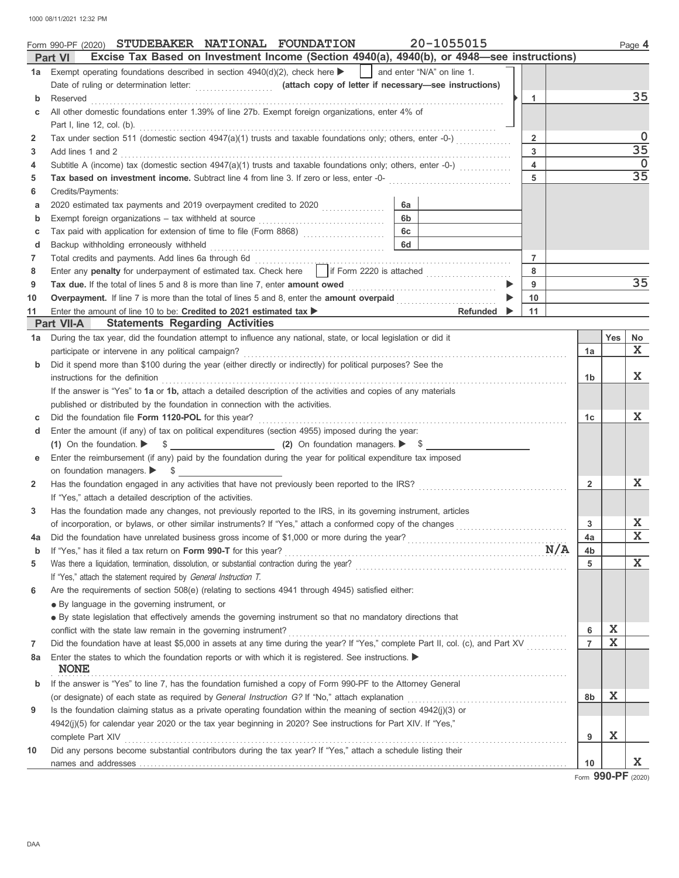1000 08/11/2021 12:32 PM

|        | 20-1055015<br>Form 990-PF (2020) STUDEBAKER NATIONAL FOUNDATION                                                                                            |                |     | Page 4          |
|--------|------------------------------------------------------------------------------------------------------------------------------------------------------------|----------------|-----|-----------------|
|        | Excise Tax Based on Investment Income (Section 4940(a), 4940(b), or 4948-see instructions)<br><b>Part VI</b>                                               |                |     |                 |
| 1a l   | Exempt operating foundations described in section $4940(d)(2)$ , check here $\blacktriangleright$<br>and enter "N/A" on line 1.                            |                |     |                 |
|        |                                                                                                                                                            |                |     | 35              |
| b      | Reserved<br>1<br>All other domestic foundations enter 1.39% of line 27b. Exempt foreign organizations, enter 4% of                                         |                |     |                 |
|        |                                                                                                                                                            |                |     |                 |
| 2      | Part I, line 12, col. (b).<br>Tax under section 511 (domestic section 4947(a)(1) trusts and taxable foundations only; others, enter -0-)<br>$\overline{2}$ |                |     | 0               |
| 3      | 3<br>Add lines 1 and 2                                                                                                                                     |                |     | $\overline{35}$ |
| 4      | Subtitle A (income) tax (domestic section 4947(a)(1) trusts and taxable foundations only; others, enter -0-)<br>$\overline{4}$                             |                |     | 0               |
| 5      | 5<br>Tax based on investment income. Subtract line 4 from line 3. If zero or less, enter -0-                                                               |                |     | $\overline{35}$ |
| 6      | Credits/Payments:                                                                                                                                          |                |     |                 |
| а      | 6a<br>2020 estimated tax payments and 2019 overpayment credited to 2020                                                                                    |                |     |                 |
| b      | 6 <sub>b</sub>                                                                                                                                             |                |     |                 |
| c      | <b>6c</b><br>Tax paid with application for extension of time to file (Form 8868)                                                                           |                |     |                 |
| d      | <b>6d</b><br>Backup withholding erroneously withheld                                                                                                       |                |     |                 |
| 7      | Total credits and payments. Add lines 6a through 6d<br>$\overline{7}$                                                                                      |                |     |                 |
| 8      | Enter any penalty for underpayment of estimated tax. Check here   if Form 2220 is attached<br>8                                                            |                |     |                 |
| 9      | 9<br>Tax due. If the total of lines 5 and 8 is more than line 7, enter amount owed                                                                         |                |     | 35              |
| 10     | Overpayment. If line 7 is more than the total of lines 5 and 8, enter the amount overpaid <i>mummummmmmmmm</i><br>10                                       |                |     |                 |
| 11     | Refunded $\blacktriangleright$<br>11<br>Enter the amount of line 10 to be: Credited to 2021 estimated tax $\blacktriangleright$                            |                |     |                 |
|        | <b>Statements Regarding Activities</b><br><b>Part VII-A</b>                                                                                                |                |     |                 |
| 1a     | During the tax year, did the foundation attempt to influence any national, state, or local legislation or did it                                           |                | Yes | No              |
|        | participate or intervene in any political campaign?                                                                                                        | 1a             |     | X.              |
| b      | Did it spend more than \$100 during the year (either directly or indirectly) for political purposes? See the                                               |                |     |                 |
|        | instructions for the definition                                                                                                                            | 1b             |     | $\mathbf x$     |
|        | If the answer is "Yes" to 1a or 1b, attach a detailed description of the activities and copies of any materials                                            |                |     |                 |
|        | published or distributed by the foundation in connection with the activities.                                                                              |                |     |                 |
| c      | Did the foundation file Form 1120-POL for this year?                                                                                                       | 1c             |     | X               |
| d      | Enter the amount (if any) of tax on political expenditures (section 4955) imposed during the year:                                                         |                |     |                 |
|        | (1) On the foundation. $\triangleright$ $\uparrow$ $\uparrow$ $\perp$ $\ldots$ (2) On foundation managers. $\triangleright$ $\uparrow$ $\downarrow$        |                |     |                 |
|        | Enter the reimbursement (if any) paid by the foundation during the year for political expenditure tax imposed                                              |                |     |                 |
|        | on foundation managers. $\triangleright$ \$                                                                                                                |                |     |                 |
| 2      | Has the foundation engaged in any activities that have not previously been reported to the IRS?                                                            | $\overline{2}$ |     | X               |
|        | If "Yes," attach a detailed description of the activities.                                                                                                 |                |     |                 |
| 3      | Has the foundation made any changes, not previously reported to the IRS, in its governing instrument, articles                                             |                |     |                 |
|        | of incorporation, or bylaws, or other similar instruments? If "Yes," attach a conformed copy of the changes                                                | 3              |     | X<br>X          |
| 4a     | N/A<br>If "Yes," has it filed a tax return on Form 990-T for this year?                                                                                    | 4a             |     |                 |
| b<br>5 |                                                                                                                                                            | 4b<br>5        |     | $\mathbf{x}$    |
|        | If "Yes," attach the statement required by General Instruction T.                                                                                          |                |     |                 |
| 6      | Are the requirements of section 508(e) (relating to sections 4941 through 4945) satisfied either:                                                          |                |     |                 |
|        | • By language in the governing instrument, or                                                                                                              |                |     |                 |
|        | • By state legislation that effectively amends the governing instrument so that no mandatory directions that                                               |                |     |                 |
|        | conflict with the state law remain in the governing instrument?                                                                                            | 6              | X   |                 |
| 7      | Did the foundation have at least \$5,000 in assets at any time during the year? If "Yes," complete Part II, col. (c), and Part XV                          | $\overline{7}$ | X   |                 |
| 8a     | Enter the states to which the foundation reports or with which it is registered. See instructions.                                                         |                |     |                 |
|        | <b>NONE</b>                                                                                                                                                |                |     |                 |
| b      | If the answer is "Yes" to line 7, has the foundation furnished a copy of Form 990-PF to the Attorney General                                               |                |     |                 |
|        | (or designate) of each state as required by General Instruction G? If "No," attach explanation                                                             | 8b             | X   |                 |
| 9      | Is the foundation claiming status as a private operating foundation within the meaning of section 4942(j)(3) or                                            |                |     |                 |
|        | 4942(j)(5) for calendar year 2020 or the tax year beginning in 2020? See instructions for Part XIV. If "Yes,"                                              |                | X   |                 |
|        | complete Part XIV                                                                                                                                          | 9              |     |                 |
| 10     | Did any persons become substantial contributors during the tax year? If "Yes," attach a schedule listing their                                             | 10             |     | X               |
|        |                                                                                                                                                            |                |     |                 |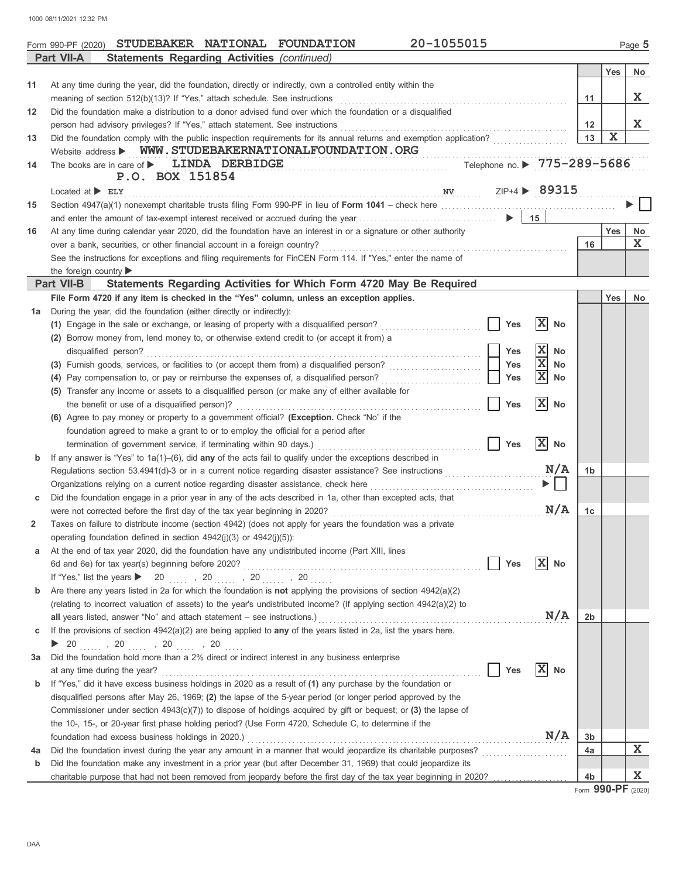1000 08/11/2021 12:32 PM

|    | 20-1055015<br>Form 990-PF (2020) STUDEBAKER NATIONAL FOUNDATION                                                                     |                   |            | Page 5 |
|----|-------------------------------------------------------------------------------------------------------------------------------------|-------------------|------------|--------|
|    | <b>Statements Regarding Activities (continued)</b><br>Part VII-A                                                                    |                   |            |        |
|    |                                                                                                                                     |                   | <b>Yes</b> | No     |
| 11 | At any time during the year, did the foundation, directly or indirectly, own a controlled entity within the                         |                   |            |        |
|    | meaning of section 512(b)(13)? If "Yes," attach schedule. See instructions                                                          | 11                |            | X      |
| 12 | Did the foundation make a distribution to a donor advised fund over which the foundation or a disqualified                          |                   |            |        |
|    | person had advisory privileges? If "Yes," attach statement. See instructions                                                        | $12 \overline{ }$ |            | X      |
| 13 |                                                                                                                                     | 13                | X          |        |
|    | Website address > WWW.STUDEBAKERNATIONALFOUNDATION.ORG                                                                              |                   |            |        |
| 14 | Telephone no. ▶ 775-289-5686<br>The books are in care of $\blacktriangleright$ LINDA DERBIDGE                                       |                   |            |        |
|    | P.O. BOX 151854                                                                                                                     |                   |            |        |
|    | ZIP+4 > 89315<br>Located at $\blacktriangleright$ ELY<br>N V                                                                        |                   |            |        |
| 15 |                                                                                                                                     |                   |            |        |
|    |                                                                                                                                     |                   |            |        |
| 16 | At any time during calendar year 2020, did the foundation have an interest in or a signature or other authority                     |                   | Yes        | No     |
|    | over a bank, securities, or other financial account in a foreign country?                                                           | 16                |            | X      |
|    | See the instructions for exceptions and filing requirements for FinCEN Form 114. If "Yes," enter the name of                        |                   |            |        |
|    | the foreign country                                                                                                                 |                   |            |        |
|    | <b>Part VII-B</b><br>Statements Regarding Activities for Which Form 4720 May Be Required                                            |                   |            |        |
|    | File Form 4720 if any item is checked in the "Yes" column, unless an exception applies.                                             |                   | <b>Yes</b> | No     |
| 1a | During the year, did the foundation (either directly or indirectly):                                                                |                   |            |        |
|    | $ \mathbf{x} $<br>(1) Engage in the sale or exchange, or leasing of property with a disqualified person?<br>Yes<br>No               |                   |            |        |
|    | (2) Borrow money from, lend money to, or otherwise extend credit to (or accept it from) a                                           |                   |            |        |
|    | $ {\bf x} $<br>disqualified person?<br><b>Yes</b><br><b>No</b>                                                                      |                   |            |        |
|    | X<br>Yes<br>No                                                                                                                      |                   |            |        |
|    | X<br>Yes<br>(4) Pay compensation to, or pay or reimburse the expenses of, a disqualified person?<br>No                              |                   |            |        |
|    | (5) Transfer any income or assets to a disqualified person (or make any of either available for                                     |                   |            |        |
|    | X <br>the benefit or use of a disqualified person)?<br><b>Yes</b><br>No                                                             |                   |            |        |
|    | (6) Agree to pay money or property to a government official? (Exception. Check "No" if the                                          |                   |            |        |
|    | foundation agreed to make a grant to or to employ the official for a period after                                                   |                   |            |        |
|    | X <br>termination of government service, if terminating within 90 days.)<br><b>Yes</b><br><b>No</b>                                 |                   |            |        |
| b  | If any answer is "Yes" to $1a(1)$ –(6), did any of the acts fail to qualify under the exceptions described in                       |                   |            |        |
|    | N/A<br>Regulations section 53.4941(d)-3 or in a current notice regarding disaster assistance? See instructions <i>mimimimimimim</i> | 1 <sub>b</sub>    |            |        |
|    |                                                                                                                                     |                   |            |        |
| с  | Did the foundation engage in a prior year in any of the acts described in 1a, other than excepted acts, that                        |                   |            |        |
|    | N/A<br>were not corrected before the first day of the tax year beginning in 2020?                                                   | 1c                |            |        |
| 2  | Taxes on failure to distribute income (section 4942) (does not apply for years the foundation was a private                         |                   |            |        |
|    | operating foundation defined in section 4942(j)(3) or 4942(j)(5)):                                                                  |                   |            |        |
| а  | At the end of tax year 2020, did the foundation have any undistributed income (Part XIII, lines                                     |                   |            |        |
|    | $ {\bf X} $<br>6d and 6e) for tax year(s) beginning before 2020?<br>Yes<br>No                                                       |                   |            |        |
|    | If "Yes," list the years $\triangleright$ 20  , 20  , 20  , 20                                                                      |                   |            |        |
| b  | Are there any years listed in 2a for which the foundation is not applying the provisions of section 4942(a)(2)                      |                   |            |        |
|    | (relating to incorrect valuation of assets) to the year's undistributed income? (If applying section 4942(a)(2) to                  |                   |            |        |
|    | N/A<br>all years listed, answer "No" and attach statement $-$ see instructions.)                                                    | 2b                |            |        |
| С  | If the provisions of section $4942(a)(2)$ are being applied to any of the years listed in 2a, list the years here.                  |                   |            |        |
|    | <b>1</b> 20 $\ldots$ , 20 $\ldots$ , 20 $\ldots$ , 20 $\ldots$                                                                      |                   |            |        |
| За | Did the foundation hold more than a 2% direct or indirect interest in any business enterprise                                       |                   |            |        |
|    | X <br>Yes<br>No<br>at any time during the year?                                                                                     |                   |            |        |
| b  | If "Yes," did it have excess business holdings in 2020 as a result of (1) any purchase by the foundation or                         |                   |            |        |
|    | disqualified persons after May 26, 1969; (2) the lapse of the 5-year period (or longer period approved by the                       |                   |            |        |
|    | Commissioner under section $4943(c)(7)$ ) to dispose of holdings acquired by gift or bequest; or (3) the lapse of                   |                   |            |        |
|    | the 10-, 15-, or 20-year first phase holding period? (Use Form 4720, Schedule C, to determine if the                                |                   |            |        |
|    | N/A<br>foundation had excess business holdings in 2020.)                                                                            | 3b                |            |        |
| 4a | Did the foundation invest during the year any amount in a manner that would jeopardize its charitable purposes?                     | 4a                |            | X.     |
| b  | Did the foundation make any investment in a prior year (but after December 31, 1969) that could jeopardize its                      |                   |            |        |
|    | charitable purpose that had not been removed from jeopardy before the first day of the tax year beginning in 2020?                  | 4 <sub>b</sub>    |            | X      |
|    |                                                                                                                                     |                   |            |        |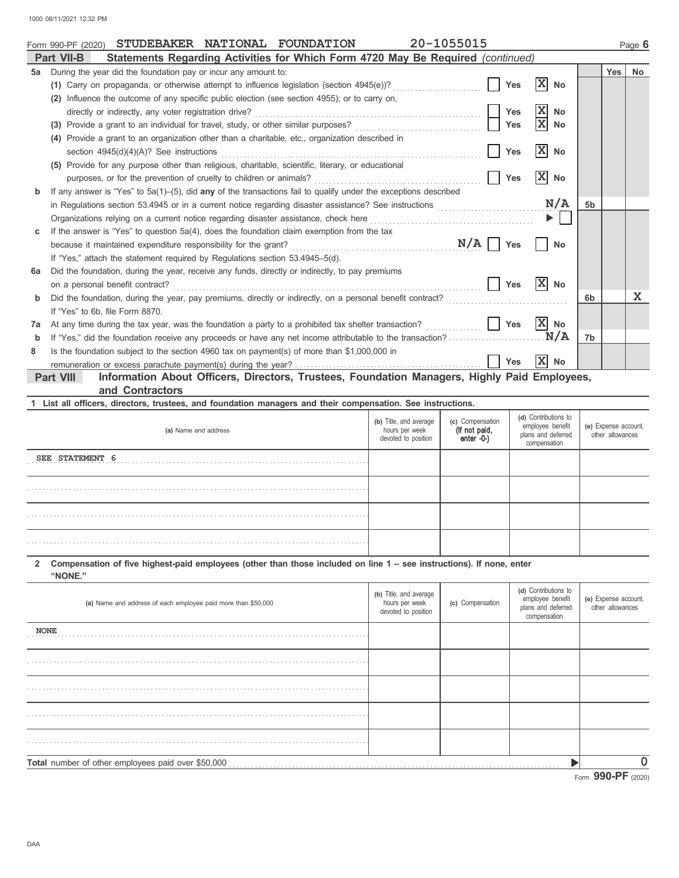|    | 20-1055015<br>STUDEBAKER NATIONAL FOUNDATION<br>Form 990-PF (2020)                                                 |                               |                |            | Page 6      |  |  |  |
|----|--------------------------------------------------------------------------------------------------------------------|-------------------------------|----------------|------------|-------------|--|--|--|
|    | Statements Regarding Activities for Which Form 4720 May Be Required (continued)<br><b>Part VII-B</b>               |                               |                |            |             |  |  |  |
| 5a | During the year did the foundation pay or incur any amount to:                                                     |                               |                | <b>Yes</b> | <b>No</b>   |  |  |  |
|    | <b>Yes</b><br>(1) Carry on propaganda, or otherwise attempt to influence legislation (section 4945(e))?            | X <br>No                      |                |            |             |  |  |  |
|    | Influence the outcome of any specific public election (see section 4955); or to carry on,                          |                               |                |            |             |  |  |  |
|    | Yes<br>directly or indirectly, any voter registration drive?                                                       | $ \mathbf{x} $<br><b>No</b>   |                |            |             |  |  |  |
|    | Provide a grant to an individual for travel, study, or other similar purposes?<br>Yes<br>(3)                       | $\overline{\mathbf{x}}$<br>No |                |            |             |  |  |  |
|    | Provide a grant to an organization other than a charitable, etc., organization described in                        |                               |                |            |             |  |  |  |
|    | Yes<br>section 4945(d)(4)(A)? See instructions                                                                     | $\mathbf{x}$<br><b>No</b>     |                |            |             |  |  |  |
|    | (5) Provide for any purpose other than religious, charitable, scientific, literary, or educational                 |                               |                |            |             |  |  |  |
|    | Yes<br>purposes, or for the prevention of cruelty to children or animals?                                          | X<br><b>No</b>                |                |            |             |  |  |  |
|    | If any answer is "Yes" to $5a(1)$ -(5), did any of the transactions fail to qualify under the exceptions described |                               |                |            |             |  |  |  |
|    |                                                                                                                    | N/A                           | 5 <sub>b</sub> |            |             |  |  |  |
|    | Organizations relying on a current notice regarding disaster assistance, check here                                | $\blacktriangleright$         |                |            |             |  |  |  |
| c  | If the answer is "Yes" to question $5a(4)$ , does the foundation claim exemption from the tax                      |                               |                |            |             |  |  |  |
|    | N/A<br><b>Yes</b><br>because it maintained expenditure responsibility for the grant?                               | <b>No</b>                     |                |            |             |  |  |  |
|    | If "Yes," attach the statement required by Regulations section 53.4945–5(d).                                       |                               |                |            |             |  |  |  |
| 6a | Did the foundation, during the year, receive any funds, directly or indirectly, to pay premiums                    |                               |                |            |             |  |  |  |
|    | Yes<br>on a personal benefit contract?                                                                             | x <br><b>No</b>               |                |            |             |  |  |  |
| b  | Did the foundation, during the year, pay premiums, directly or indirectly, on a personal benefit contract?         |                               | 6b             |            | $\mathbf x$ |  |  |  |
|    | If "Yes" to 6b, file Form 8870.                                                                                    |                               |                |            |             |  |  |  |
| 7a | Yes<br>At any time during the tax year, was the foundation a party to a prohibited tax shelter transaction?        | $ \mathbf{X} $ No             |                |            |             |  |  |  |
| b  | If "Yes," did the foundation receive any proceeds or have any net income attributable to the transaction?          | N/A                           | 7 <sub>b</sub> |            |             |  |  |  |
| 8  | Is the foundation subject to the section 4960 tax on payment(s) of more than \$1,000,000 in                        |                               |                |            |             |  |  |  |
|    | Yes                                                                                                                | $ \mathbf{X} $<br><b>No</b>   |                |            |             |  |  |  |
|    | Information About Officers, Directors, Trustees, Foundation Managers, Highly Paid Employees,<br>Part VIII          |                               |                |            |             |  |  |  |
|    | and Contractors                                                                                                    |                               |                |            |             |  |  |  |
|    | 1 List all officers, directors, trustees, and foundation managers and their compensation. See instructions.        |                               |                |            |             |  |  |  |
|    |                                                                                                                    | $(1, 1)$ Contributions to     |                |            |             |  |  |  |

| (a) Name and address | (b) Title, and average<br>hours per week<br>devoted to position | (c) Compensation<br>(If not paid,<br>enter -0-) | (d) Contributions to<br>employee benefit<br>plans and deferred<br>compensation | (e) Expense account,<br>other allowances |
|----------------------|-----------------------------------------------------------------|-------------------------------------------------|--------------------------------------------------------------------------------|------------------------------------------|
| SEE STATEMENT 6      |                                                                 |                                                 |                                                                                |                                          |
|                      |                                                                 |                                                 |                                                                                |                                          |
|                      |                                                                 |                                                 |                                                                                |                                          |
|                      |                                                                 |                                                 |                                                                                |                                          |

#### **2 Compensation of five highest-paid employees (other than those included on line 1 – see instructions). If none, enter "NONE."**

| (a) Name and address of each employee paid more than \$50,000 | (b) Title, and average<br>hours per week<br>devoted to position | (c) Compensation | (d) Contributions to<br>employee benefit<br>plans and deferred<br>compensation | (e) Expense account,<br>other allowances |  |  |  |  |
|---------------------------------------------------------------|-----------------------------------------------------------------|------------------|--------------------------------------------------------------------------------|------------------------------------------|--|--|--|--|
| <b>NONE</b>                                                   |                                                                 |                  |                                                                                |                                          |  |  |  |  |
|                                                               |                                                                 |                  |                                                                                |                                          |  |  |  |  |
|                                                               |                                                                 |                  |                                                                                |                                          |  |  |  |  |
|                                                               |                                                                 |                  |                                                                                |                                          |  |  |  |  |
|                                                               |                                                                 |                  |                                                                                |                                          |  |  |  |  |
| Total number of other employees paid over \$50,000            |                                                                 |                  |                                                                                |                                          |  |  |  |  |
|                                                               | Form 990-PF (2020)                                              |                  |                                                                                |                                          |  |  |  |  |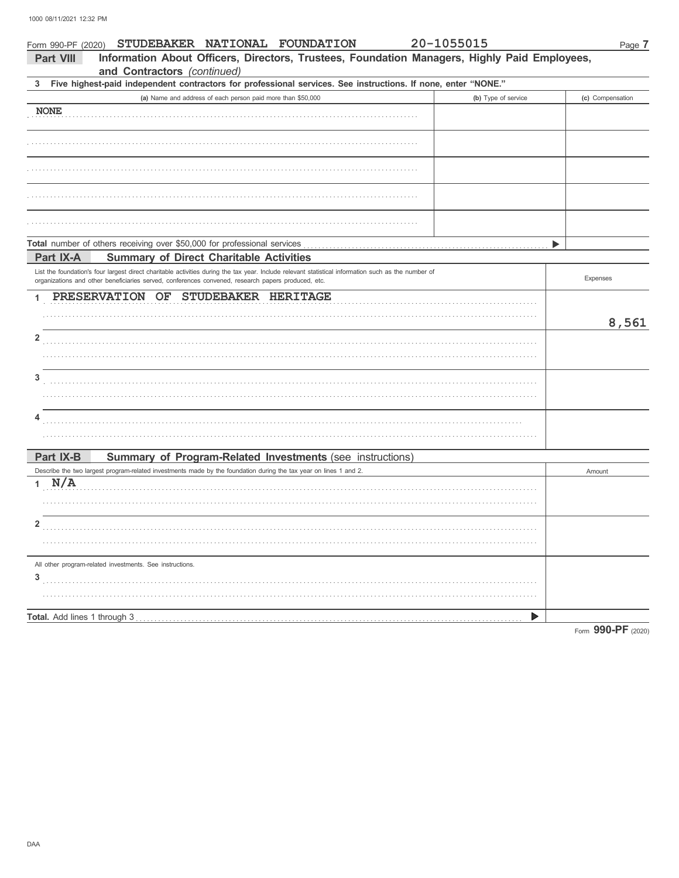| Form 990-PF (2020) | 20-1055015<br>STUDEBAKER NATIONAL FOUNDATION                                                                                                                                                                                                              | Page 7                                  |
|--------------------|-----------------------------------------------------------------------------------------------------------------------------------------------------------------------------------------------------------------------------------------------------------|-----------------------------------------|
| <b>Part VIII</b>   | Information About Officers, Directors, Trustees, Foundation Managers, Highly Paid Employees,<br>and Contractors (continued)                                                                                                                               |                                         |
| 3                  | Five highest-paid independent contractors for professional services. See instructions. If none, enter "NONE."                                                                                                                                             |                                         |
|                    | (a) Name and address of each person paid more than \$50,000                                                                                                                                                                                               | (b) Type of service<br>(c) Compensation |
| <b>NONE</b>        |                                                                                                                                                                                                                                                           |                                         |
|                    |                                                                                                                                                                                                                                                           |                                         |
|                    |                                                                                                                                                                                                                                                           |                                         |
|                    |                                                                                                                                                                                                                                                           |                                         |
|                    |                                                                                                                                                                                                                                                           |                                         |
|                    | Total number of others receiving over \$50,000 for professional services                                                                                                                                                                                  |                                         |
| Part IX-A          | <b>Summary of Direct Charitable Activities</b>                                                                                                                                                                                                            |                                         |
|                    | List the foundation's four largest direct charitable activities during the tax year. Include relevant statistical information such as the number of<br>organizations and other beneficiaries served, conferences convened, research papers produced, etc. | Expenses                                |
| 1                  | PRESERVATION OF<br>STUDEBAKER HERITAGE                                                                                                                                                                                                                    |                                         |
|                    |                                                                                                                                                                                                                                                           |                                         |
|                    |                                                                                                                                                                                                                                                           | 8,561                                   |
| 2                  |                                                                                                                                                                                                                                                           |                                         |
|                    |                                                                                                                                                                                                                                                           |                                         |
| 3                  |                                                                                                                                                                                                                                                           |                                         |
|                    |                                                                                                                                                                                                                                                           |                                         |
|                    |                                                                                                                                                                                                                                                           |                                         |
| 4                  |                                                                                                                                                                                                                                                           |                                         |
|                    |                                                                                                                                                                                                                                                           |                                         |
|                    |                                                                                                                                                                                                                                                           |                                         |
| Part IX-B          | Summary of Program-Related Investments (see instructions)                                                                                                                                                                                                 |                                         |
| N/A<br>1           | Describe the two largest program-related investments made by the foundation during the tax year on lines 1 and 2.                                                                                                                                         | Amount                                  |
|                    |                                                                                                                                                                                                                                                           |                                         |
|                    |                                                                                                                                                                                                                                                           |                                         |
| 2                  |                                                                                                                                                                                                                                                           |                                         |
|                    |                                                                                                                                                                                                                                                           |                                         |
|                    | All other program-related investments. See instructions.                                                                                                                                                                                                  |                                         |
| 3                  |                                                                                                                                                                                                                                                           |                                         |
|                    |                                                                                                                                                                                                                                                           |                                         |
|                    |                                                                                                                                                                                                                                                           | ▶                                       |
|                    |                                                                                                                                                                                                                                                           | Form 990-PF (2020)                      |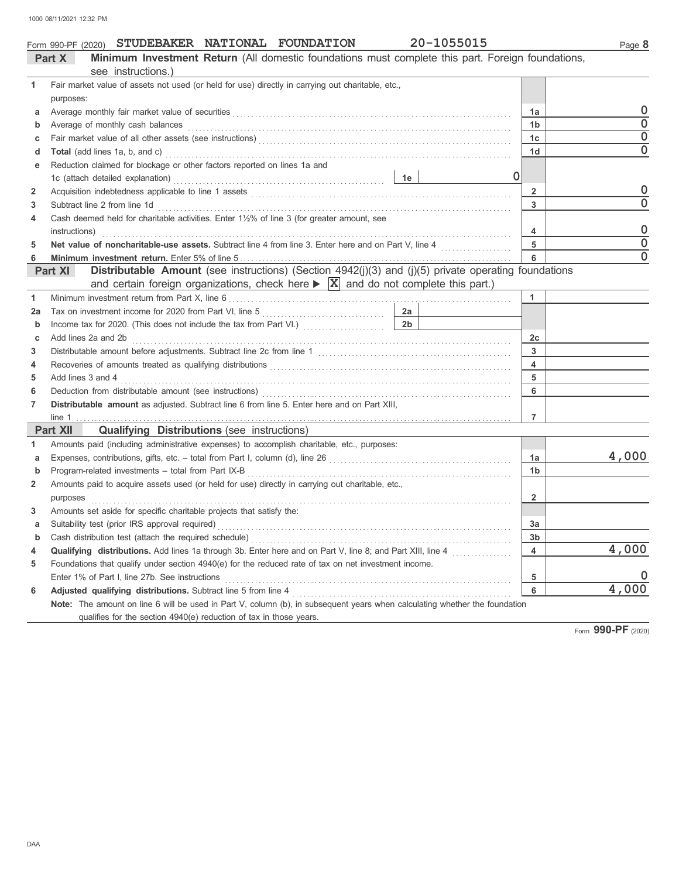|    | Form 990-PF (2020) STUDEBAKER NATIONAL FOUNDATION                                                                                                                                                                                 | 20-1055015 |                  | Page 8   |
|----|-----------------------------------------------------------------------------------------------------------------------------------------------------------------------------------------------------------------------------------|------------|------------------|----------|
|    | Minimum Investment Return (All domestic foundations must complete this part. Foreign foundations,<br>Part X                                                                                                                       |            |                  |          |
|    | see instructions.)                                                                                                                                                                                                                |            |                  |          |
| 1  | Fair market value of assets not used (or held for use) directly in carrying out charitable, etc.,                                                                                                                                 |            |                  |          |
|    | purposes:                                                                                                                                                                                                                         |            |                  | 0        |
| a  |                                                                                                                                                                                                                                   |            | 1a               | $\Omega$ |
| b  | Average of monthly cash balances                                                                                                                                                                                                  |            | 1 <sub>b</sub>   | $\Omega$ |
| c  |                                                                                                                                                                                                                                   |            | 1 <sub>c</sub>   | $\Omega$ |
| d  |                                                                                                                                                                                                                                   |            | 1 <sub>d</sub>   |          |
| е  | Reduction claimed for blockage or other factors reported on lines 1a and                                                                                                                                                          |            |                  |          |
|    | 1c (attach detailed explanation)                                                                                                                                                                                                  |            |                  |          |
| 2  |                                                                                                                                                                                                                                   |            | $\overline{2}$   | 0        |
| 3  | Subtract line 2 from line 1d                                                                                                                                                                                                      |            | $\mathbf{3}$     | 0        |
| 4  | Cash deemed held for charitable activities. Enter 1½% of line 3 (for greater amount, see                                                                                                                                          |            |                  |          |
|    | instructions)                                                                                                                                                                                                                     |            | $\overline{4}$   | 0        |
| 5  |                                                                                                                                                                                                                                   |            | 5                | $\Omega$ |
|    |                                                                                                                                                                                                                                   |            |                  | $\Omega$ |
|    | Distributable Amount (see instructions) (Section 4942(j)(3) and (j)(5) private operating foundations<br>Part XI<br>and certain foreign organizations, check here $\triangleright$ $\vert x \vert$ and do not complete this part.) |            |                  |          |
| 1  |                                                                                                                                                                                                                                   |            | 1                |          |
| 2a | $\frac{2a}{2a}$<br>Tax on investment income for 2020 from Part VI, line 5                                                                                                                                                         |            |                  |          |
| b  |                                                                                                                                                                                                                                   |            |                  |          |
| c  | Add lines 2a and 2b                                                                                                                                                                                                               |            | 2c               |          |
| 3  |                                                                                                                                                                                                                                   |            | $\mathbf{3}$     |          |
| 4  | Recoveries of amounts treated as qualifying distributions [11] contain the content of amounts treated as qualifying distributions [11] content and the content of amounts of amounts of amounts of amounts of amounts of amoun    |            | $\blacktriangle$ |          |
| 5  | Add lines 3 and 4                                                                                                                                                                                                                 |            | 5                |          |
| 6  |                                                                                                                                                                                                                                   |            | 6                |          |
|    | Distributable amount as adjusted. Subtract line 6 from line 5. Enter here and on Part XIII,                                                                                                                                       |            |                  |          |
|    |                                                                                                                                                                                                                                   |            | 7                |          |

|                | line 1                                                                                                                     |                |       |  |  |  |  |
|----------------|----------------------------------------------------------------------------------------------------------------------------|----------------|-------|--|--|--|--|
|                | <b>Qualifying Distributions</b> (see instructions)<br><b>Part XII</b>                                                      |                |       |  |  |  |  |
|                | Amounts paid (including administrative expenses) to accomplish charitable, etc., purposes:                                 |                |       |  |  |  |  |
| a              | Expenses, contributions, gifts, etc. - total from Part I, column (d), line 26                                              | 1a             | 4,000 |  |  |  |  |
| b              | Program-related investments - total from Part IX-B                                                                         | 1b             |       |  |  |  |  |
| $\overline{2}$ | Amounts paid to acquire assets used (or held for use) directly in carrying out charitable, etc.,                           |                |       |  |  |  |  |
|                | purposes                                                                                                                   |                |       |  |  |  |  |
| 3              | Amounts set aside for specific charitable projects that satisfy the:                                                       |                |       |  |  |  |  |
| a              | Suitability test (prior IRS approval required)                                                                             | 3a             |       |  |  |  |  |
| b              | Cash distribution test (attach the required schedule)                                                                      | 3 <sub>b</sub> |       |  |  |  |  |
| 4              | Qualifying distributions. Add lines 1a through 3b. Enter here and on Part V, line 8; and Part XIII, line 4                 | 4              | 4,000 |  |  |  |  |
| 5              | Foundations that qualify under section 4940(e) for the reduced rate of tax on net investment income.                       |                |       |  |  |  |  |
|                | Enter 1% of Part I, line 27b. See instructions                                                                             | 5              |       |  |  |  |  |
| 6              | <b>Adjusted qualifying distributions.</b> Subtract line 5 from line 4                                                      | 6              | 4,000 |  |  |  |  |
|                | Note: The amount on line 6 will be used in Part V, column (b), in subsequent years when calculating whether the foundation |                |       |  |  |  |  |
|                | qualifies for the section 4940(e) reduction of tax in those years.                                                         |                |       |  |  |  |  |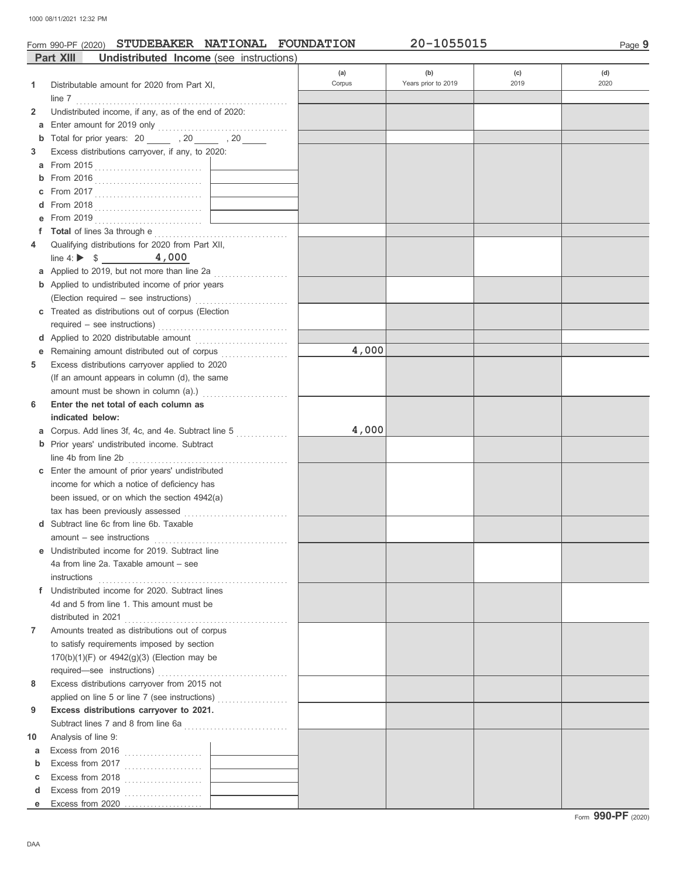### Form 990-PF (2020) **STUDEBAKER NATIONAL FOUNDATION** 20-1055015

|                | <b>Part XIII</b><br>Undistributed Income (see instructions)                                   |        |                     |      |      |
|----------------|-----------------------------------------------------------------------------------------------|--------|---------------------|------|------|
|                |                                                                                               | (a)    | (b)                 | (c)  | (d)  |
| 1              | Distributable amount for 2020 from Part XI,                                                   | Corpus | Years prior to 2019 | 2019 | 2020 |
|                |                                                                                               |        |                     |      |      |
| 2              | Undistributed income, if any, as of the end of 2020:                                          |        |                     |      |      |
| а              |                                                                                               |        |                     |      |      |
| b              | Total for prior years: 20 _______ , 20 _____ , 20 _____                                       |        |                     |      |      |
| 3              | Excess distributions carryover, if any, to 2020:                                              |        |                     |      |      |
| a              |                                                                                               |        |                     |      |      |
|                |                                                                                               |        |                     |      |      |
|                |                                                                                               |        |                     |      |      |
|                |                                                                                               |        |                     |      |      |
|                |                                                                                               |        |                     |      |      |
|                |                                                                                               |        |                     |      |      |
| 4              | Qualifying distributions for 2020 from Part XII,                                              |        |                     |      |      |
|                | line 4: $\triangleright$ \$ 4,000                                                             |        |                     |      |      |
|                | a Applied to 2019, but not more than line 2a                                                  |        |                     |      |      |
|                | <b>b</b> Applied to undistributed income of prior years                                       |        |                     |      |      |
|                |                                                                                               |        |                     |      |      |
|                | c Treated as distributions out of corpus (Election                                            |        |                     |      |      |
|                |                                                                                               |        |                     |      |      |
|                |                                                                                               |        |                     |      |      |
| е              | Remaining amount distributed out of corpus [1] [1] Remaining amount distributed out of corpus | 4,000  |                     |      |      |
| 5              | Excess distributions carryover applied to 2020                                                |        |                     |      |      |
|                | (If an amount appears in column (d), the same                                                 |        |                     |      |      |
|                |                                                                                               |        |                     |      |      |
| 6              | Enter the net total of each column as                                                         |        |                     |      |      |
|                | indicated below:                                                                              |        |                     |      |      |
| а              | Corpus. Add lines 3f, 4c, and 4e. Subtract line 5                                             | 4,000  |                     |      |      |
|                | <b>b</b> Prior years' undistributed income. Subtract                                          |        |                     |      |      |
|                |                                                                                               |        |                     |      |      |
|                | c Enter the amount of prior years' undistributed                                              |        |                     |      |      |
|                | income for which a notice of deficiency has                                                   |        |                     |      |      |
|                | been issued, or on which the section 4942(a)                                                  |        |                     |      |      |
|                |                                                                                               |        |                     |      |      |
|                | Subtract line 6c from line 6b. Taxable                                                        |        |                     |      |      |
|                |                                                                                               |        |                     |      |      |
|                | <b>e</b> Undistributed income for 2019. Subtract line                                         |        |                     |      |      |
|                | 4a from line 2a. Taxable amount – see                                                         |        |                     |      |      |
|                | instructions                                                                                  |        |                     |      |      |
|                | f Undistributed income for 2020. Subtract lines                                               |        |                     |      |      |
|                | 4d and 5 from line 1. This amount must be                                                     |        |                     |      |      |
|                | distributed in 2021                                                                           |        |                     |      |      |
| $\overline{7}$ | Amounts treated as distributions out of corpus                                                |        |                     |      |      |
|                | to satisfy requirements imposed by section                                                    |        |                     |      |      |
|                | 170(b)(1)(F) or 4942(g)(3) (Election may be                                                   |        |                     |      |      |
|                |                                                                                               |        |                     |      |      |
| 8              | Excess distributions carryover from 2015 not                                                  |        |                     |      |      |
|                | applied on line 5 or line 7 (see instructions)                                                |        |                     |      |      |
| 9              | Excess distributions carryover to 2021.                                                       |        |                     |      |      |
|                |                                                                                               |        |                     |      |      |
| 10             | Analysis of line 9:                                                                           |        |                     |      |      |
| а              | Excess from 2016 $\ldots$                                                                     |        |                     |      |      |
| b              |                                                                                               |        |                     |      |      |
| c              |                                                                                               |        |                     |      |      |
| d              |                                                                                               |        |                     |      |      |
| е              |                                                                                               |        |                     |      |      |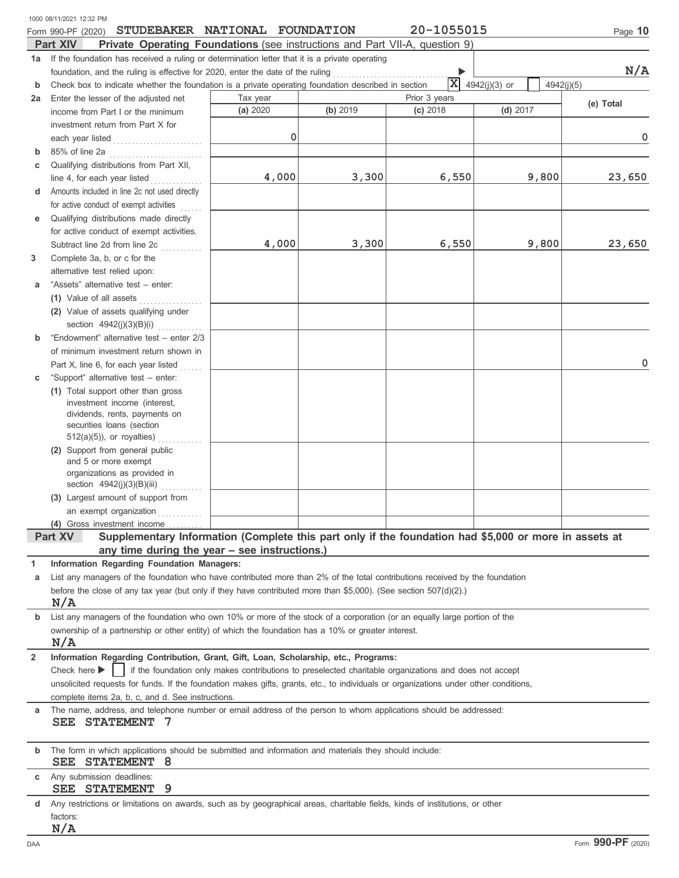|                | 1000 08/11/2021 12:32 PM                                                                                                                                                              |          |          |                                                                                                        |               |            |
|----------------|---------------------------------------------------------------------------------------------------------------------------------------------------------------------------------------|----------|----------|--------------------------------------------------------------------------------------------------------|---------------|------------|
|                | STUDEBAKER NATIONAL FOUNDATION<br>Form 990-PF (2020)                                                                                                                                  |          |          | 20-1055015                                                                                             |               | Page 10    |
|                | <b>Part XIV</b><br><b>Private Operating Foundations</b> (see instructions and Part VII-A, question 9)                                                                                 |          |          |                                                                                                        |               |            |
|                | 1a If the foundation has received a ruling or determination letter that it is a private operating                                                                                     |          |          |                                                                                                        |               | N/A        |
| b              | foundation, and the ruling is effective for 2020, enter the date of the ruling<br>Check box to indicate whether the foundation is a private operating foundation described in section |          |          | $\mathbf{x}$                                                                                           | 4942(j)(3) or | 4942(j)(5) |
| 2a             | Enter the lesser of the adjusted net                                                                                                                                                  | Tax year |          | Prior 3 years                                                                                          |               |            |
|                | income from Part I or the minimum                                                                                                                                                     | (a) 2020 | (b) 2019 | (c) 2018                                                                                               | $(d)$ 2017    | (e) Total  |
|                | investment return from Part X for                                                                                                                                                     |          |          |                                                                                                        |               |            |
|                | each year listed                                                                                                                                                                      | 0        |          |                                                                                                        |               | 0          |
| b              | 85% of line 2a                                                                                                                                                                        |          |          |                                                                                                        |               |            |
| c              | Qualifying distributions from Part XII,                                                                                                                                               |          |          |                                                                                                        |               |            |
|                | line 4, for each year listed                                                                                                                                                          | 4,000    | 3,300    | 6,550                                                                                                  | 9,800         | 23,650     |
| d              | Amounts included in line 2c not used directly                                                                                                                                         |          |          |                                                                                                        |               |            |
|                | for active conduct of exempt activities                                                                                                                                               |          |          |                                                                                                        |               |            |
| е              | Qualifying distributions made directly                                                                                                                                                |          |          |                                                                                                        |               |            |
|                | for active conduct of exempt activities.                                                                                                                                              |          |          |                                                                                                        |               |            |
|                | Subtract line 2d from line 2c                                                                                                                                                         | 4,000    | 3,300    | 6,550                                                                                                  | 9,800         | 23,650     |
| 3              | Complete 3a, b, or c for the                                                                                                                                                          |          |          |                                                                                                        |               |            |
|                | alternative test relied upon:                                                                                                                                                         |          |          |                                                                                                        |               |            |
| a              | "Assets" alternative test - enter:                                                                                                                                                    |          |          |                                                                                                        |               |            |
|                | (1) Value of all assets                                                                                                                                                               |          |          |                                                                                                        |               |            |
|                | (2) Value of assets qualifying under                                                                                                                                                  |          |          |                                                                                                        |               |            |
|                | section 4942(j)(3)(B)(i)                                                                                                                                                              |          |          |                                                                                                        |               |            |
| b              | "Endowment" alternative test - enter 2/3                                                                                                                                              |          |          |                                                                                                        |               |            |
|                | of minimum investment return shown in                                                                                                                                                 |          |          |                                                                                                        |               |            |
|                | Part X, line 6, for each year listed                                                                                                                                                  |          |          |                                                                                                        |               | 0          |
| c              | "Support" alternative test - enter:                                                                                                                                                   |          |          |                                                                                                        |               |            |
|                | (1) Total support other than gross                                                                                                                                                    |          |          |                                                                                                        |               |            |
|                | investment income (interest,                                                                                                                                                          |          |          |                                                                                                        |               |            |
|                | dividends, rents, payments on                                                                                                                                                         |          |          |                                                                                                        |               |            |
|                | securities loans (section                                                                                                                                                             |          |          |                                                                                                        |               |            |
|                | $512(a)(5)$ , or royalties)                                                                                                                                                           |          |          |                                                                                                        |               |            |
|                | (2) Support from general public                                                                                                                                                       |          |          |                                                                                                        |               |            |
|                | and 5 or more exempt                                                                                                                                                                  |          |          |                                                                                                        |               |            |
|                | organizations as provided in<br>section $4942(j)(3)(B)(iii)$                                                                                                                          |          |          |                                                                                                        |               |            |
|                | (3) Largest amount of support from                                                                                                                                                    |          |          |                                                                                                        |               |            |
|                | an exempt organization                                                                                                                                                                |          |          |                                                                                                        |               |            |
|                | (4) Gross investment income                                                                                                                                                           |          |          |                                                                                                        |               |            |
|                | Supplementary Information (Complete this part only if the foundation had \$5,000 or more in assets at<br>Part XV                                                                      |          |          |                                                                                                        |               |            |
|                | any time during the year - see instructions.)                                                                                                                                         |          |          |                                                                                                        |               |            |
| 1              | Information Regarding Foundation Managers:                                                                                                                                            |          |          |                                                                                                        |               |            |
| а              | List any managers of the foundation who have contributed more than 2% of the total contributions received by the foundation                                                           |          |          |                                                                                                        |               |            |
|                | before the close of any tax year (but only if they have contributed more than \$5,000). (See section $507(d)(2)$ .)                                                                   |          |          |                                                                                                        |               |            |
|                | N/A                                                                                                                                                                                   |          |          |                                                                                                        |               |            |
| b              | List any managers of the foundation who own 10% or more of the stock of a corporation (or an equally large portion of the                                                             |          |          |                                                                                                        |               |            |
|                | ownership of a partnership or other entity) of which the foundation has a 10% or greater interest.                                                                                    |          |          |                                                                                                        |               |            |
|                | N/A                                                                                                                                                                                   |          |          |                                                                                                        |               |            |
| $\overline{2}$ | Information Regarding Contribution, Grant, Gift, Loan, Scholarship, etc., Programs:                                                                                                   |          |          |                                                                                                        |               |            |
|                | Check here $\blacktriangleright$                                                                                                                                                      |          |          | if the foundation only makes contributions to preselected charitable organizations and does not accept |               |            |
|                | unsolicited requests for funds. If the foundation makes gifts, grants, etc., to individuals or organizations under other conditions,                                                  |          |          |                                                                                                        |               |            |
|                | complete items 2a, b, c, and d. See instructions.                                                                                                                                     |          |          |                                                                                                        |               |            |
| а              | The name, address, and telephone number or email address of the person to whom applications should be addressed:                                                                      |          |          |                                                                                                        |               |            |
|                | <b>SEE STATEMENT</b>                                                                                                                                                                  |          |          |                                                                                                        |               |            |
|                |                                                                                                                                                                                       |          |          |                                                                                                        |               |            |
| b              | The form in which applications should be submitted and information and materials they should include:                                                                                 |          |          |                                                                                                        |               |            |
|                | STATEMENT 8<br>SEE                                                                                                                                                                    |          |          |                                                                                                        |               |            |
| c              | Any submission deadlines:                                                                                                                                                             |          |          |                                                                                                        |               |            |
|                | <b>STATEMENT</b><br>9<br>SEE                                                                                                                                                          |          |          |                                                                                                        |               |            |
| d              | Any restrictions or limitations on awards, such as by geographical areas, charitable fields, kinds of institutions, or other                                                          |          |          |                                                                                                        |               |            |
|                | factors:                                                                                                                                                                              |          |          |                                                                                                        |               |            |
|                | N/A                                                                                                                                                                                   |          |          |                                                                                                        |               |            |
|                |                                                                                                                                                                                       |          |          |                                                                                                        |               | ה ההה      |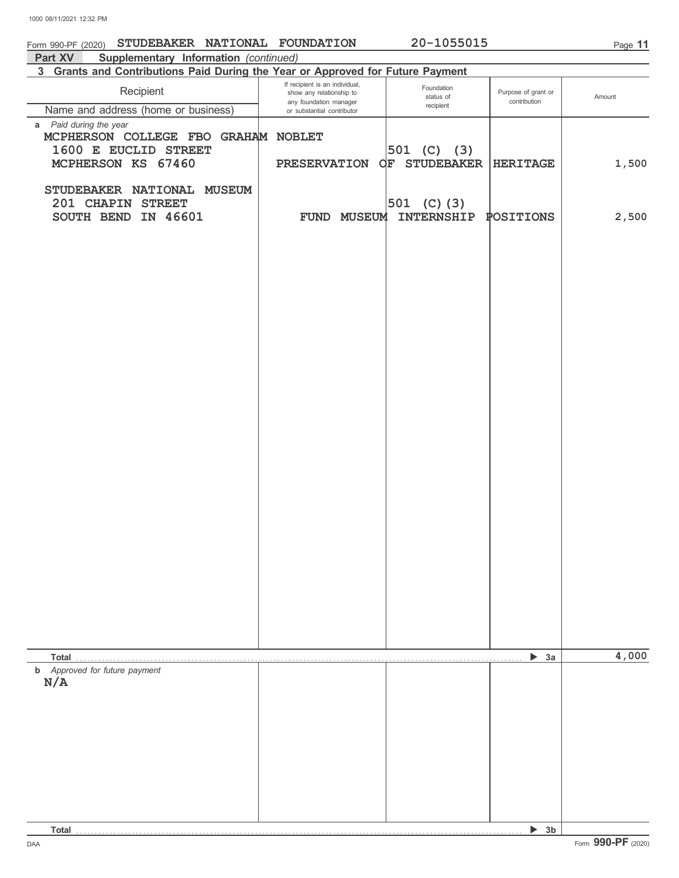| STUDEBAKER NATIONAL FOUNDATION<br>Form 990-PF (2020)                                  |                                                                                      | 20-1055015              |                                     | Page 11 |
|---------------------------------------------------------------------------------------|--------------------------------------------------------------------------------------|-------------------------|-------------------------------------|---------|
| Part XV<br>Supplementary Information (continued)                                      |                                                                                      |                         |                                     |         |
| 3 Grants and Contributions Paid During the Year or Approved for Future Payment        |                                                                                      |                         |                                     |         |
| Recipient                                                                             | If recipient is an individual,<br>show any relationship to<br>any foundation manager | Foundation<br>status of | Purpose of grant or<br>contribution | Amount  |
| Name and address (home or business)                                                   | or substantial contributor                                                           | recipient               |                                     |         |
| a Paid during the year<br>MCPHERSON COLLEGE FBO GRAHAM NOBLET<br>1600 E EUCLID STREET |                                                                                      | $ 501 \t(C) \t(3) $     |                                     |         |
| MCPHERSON KS 67460                                                                    | <b>PRESERVATION</b>                                                                  | OF STUDEBAKER           | <b>HERITAGE</b>                     | 1,500   |
| STUDEBAKER NATIONAL MUSEUM<br>201 CHAPIN STREET                                       |                                                                                      | 501 (C) $(3)$           |                                     |         |
| IN 46601<br>SOUTH BEND                                                                | FUND MUSEUM                                                                          | INTERNSHIP              | POSITIONS                           | 2,500   |
|                                                                                       |                                                                                      |                         |                                     |         |
|                                                                                       |                                                                                      |                         |                                     |         |
|                                                                                       |                                                                                      |                         |                                     |         |
|                                                                                       |                                                                                      |                         |                                     |         |
|                                                                                       |                                                                                      |                         |                                     |         |
|                                                                                       |                                                                                      |                         |                                     |         |
|                                                                                       |                                                                                      |                         |                                     |         |
|                                                                                       |                                                                                      |                         |                                     |         |
|                                                                                       |                                                                                      |                         |                                     |         |
|                                                                                       |                                                                                      |                         |                                     |         |
|                                                                                       |                                                                                      |                         |                                     |         |
|                                                                                       |                                                                                      |                         |                                     |         |
|                                                                                       |                                                                                      |                         |                                     |         |
|                                                                                       |                                                                                      |                         |                                     |         |
|                                                                                       |                                                                                      |                         |                                     |         |
|                                                                                       |                                                                                      |                         |                                     |         |
| Total                                                                                 |                                                                                      |                         | 3a<br>▶                             | 4,000   |
| <b>b</b> Approved for future payment<br>N/A                                           |                                                                                      |                         |                                     |         |
|                                                                                       |                                                                                      |                         |                                     |         |
|                                                                                       |                                                                                      |                         |                                     |         |
|                                                                                       |                                                                                      |                         |                                     |         |
|                                                                                       |                                                                                      |                         |                                     |         |
|                                                                                       |                                                                                      |                         |                                     |         |
|                                                                                       |                                                                                      |                         |                                     |         |
| <b>Total</b>                                                                          |                                                                                      |                         | 3 <sub>b</sub><br>▶                 |         |

DAA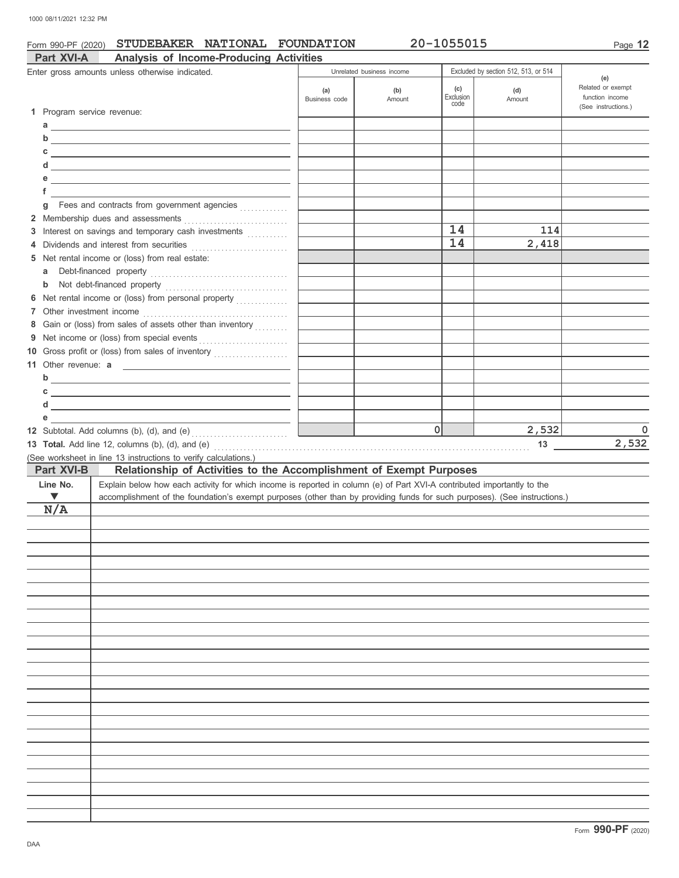### Form 990-PF (2020) **STUDEBAKER NATIONAL FOUNDATION** 20-1055015

| Part XVI-A                 | <b>Analysis of Income-Producing Activities</b>                                                                            |               |                           |           |                                      |                          |
|----------------------------|---------------------------------------------------------------------------------------------------------------------------|---------------|---------------------------|-----------|--------------------------------------|--------------------------|
|                            | Enter gross amounts unless otherwise indicated.                                                                           |               | Unrelated business income |           | Excluded by section 512, 513, or 514 |                          |
|                            |                                                                                                                           | (a)           | (b)                       | (c)       | (d)                                  | (e)<br>Related or exempt |
|                            |                                                                                                                           | Business code | Amount                    | Exclusion | Amount                               | function income          |
| 1 Program service revenue: |                                                                                                                           |               |                           | code      |                                      | (See instructions.)      |
|                            |                                                                                                                           |               |                           |           |                                      |                          |
|                            | $\mathsf{d}$                                                                                                              |               |                           |           |                                      |                          |
| С                          | <u> 1989 - Johann Stein, mars and de Brandenburg and de Brandenburg and de Brandenburg and de Brandenburg and de</u>      |               |                           |           |                                      |                          |
|                            | $d \fbox{$                                                                                                                |               |                           |           |                                      |                          |
|                            | <u> 1989 - Johann Stein, mars an deutscher Stein und der Stein und der Stein und der Stein und der Stein und der</u>      |               |                           |           |                                      |                          |
| f                          |                                                                                                                           |               |                           |           |                                      |                          |
| q                          | Fees and contracts from government agencies                                                                               |               |                           |           |                                      |                          |
|                            |                                                                                                                           |               |                           |           |                                      |                          |
|                            | 3 Interest on savings and temporary cash investments                                                                      |               |                           | 14        | 114                                  |                          |
| 4                          | Dividends and interest from securities                                                                                    |               |                           | 14        | 2,418                                |                          |
|                            | 5 Net rental income or (loss) from real estate:                                                                           |               |                           |           |                                      |                          |
| a                          | Debt-financed property                                                                                                    |               |                           |           |                                      |                          |
| b                          |                                                                                                                           |               |                           |           |                                      |                          |
|                            | 6 Net rental income or (loss) from personal property                                                                      |               |                           |           |                                      |                          |
| 7 Other investment income  |                                                                                                                           |               |                           |           |                                      |                          |
| 8                          | Gain or (loss) from sales of assets other than inventory                                                                  |               |                           |           |                                      |                          |
|                            |                                                                                                                           |               |                           |           |                                      |                          |
|                            | 10 Gross profit or (loss) from sales of inventory                                                                         |               |                           |           |                                      |                          |
|                            |                                                                                                                           |               |                           |           |                                      |                          |
|                            | 11 Other revenue: a                                                                                                       |               |                           |           |                                      |                          |
|                            | $\mathsf{b}$                                                                                                              |               |                           |           |                                      |                          |
| С                          | <u> 1989 - Andrea Stadt Britain, amerikansk politik (* 1958)</u>                                                          |               |                           |           |                                      |                          |
| d                          |                                                                                                                           |               |                           |           |                                      |                          |
|                            | <u> 1989 - Johann Stein, mars an de Brazilia (b. 1989)</u>                                                                |               |                           |           |                                      |                          |
| е                          |                                                                                                                           |               |                           |           |                                      |                          |
|                            |                                                                                                                           |               |                           | 0         | 2,532                                | $\Omega$                 |
|                            | 13 Total. Add line 12, columns (b), (d), and (e)                                                                          |               |                           |           | 13                                   | 2,532                    |
|                            | (See worksheet in line 13 instructions to verify calculations.)                                                           |               |                           |           |                                      |                          |
| Part XVI-B                 | Relationship of Activities to the Accomplishment of Exempt Purposes                                                       |               |                           |           |                                      |                          |
| Line No.                   | Explain below how each activity for which income is reported in column (e) of Part XVI-A contributed importantly to the   |               |                           |           |                                      |                          |
| $\blacktriangledown$       | accomplishment of the foundation's exempt purposes (other than by providing funds for such purposes). (See instructions.) |               |                           |           |                                      |                          |
| N/A                        |                                                                                                                           |               |                           |           |                                      |                          |
|                            |                                                                                                                           |               |                           |           |                                      |                          |
|                            |                                                                                                                           |               |                           |           |                                      |                          |
|                            |                                                                                                                           |               |                           |           |                                      |                          |
|                            |                                                                                                                           |               |                           |           |                                      |                          |
|                            |                                                                                                                           |               |                           |           |                                      |                          |
|                            |                                                                                                                           |               |                           |           |                                      |                          |
|                            |                                                                                                                           |               |                           |           |                                      |                          |
|                            |                                                                                                                           |               |                           |           |                                      |                          |
|                            |                                                                                                                           |               |                           |           |                                      |                          |
|                            |                                                                                                                           |               |                           |           |                                      |                          |
|                            |                                                                                                                           |               |                           |           |                                      |                          |
|                            |                                                                                                                           |               |                           |           |                                      |                          |
|                            |                                                                                                                           |               |                           |           |                                      |                          |
|                            |                                                                                                                           |               |                           |           |                                      |                          |
|                            |                                                                                                                           |               |                           |           |                                      |                          |
|                            |                                                                                                                           |               |                           |           |                                      |                          |
|                            |                                                                                                                           |               |                           |           |                                      |                          |
|                            |                                                                                                                           |               |                           |           |                                      |                          |
|                            |                                                                                                                           |               |                           |           |                                      |                          |
|                            |                                                                                                                           |               |                           |           |                                      |                          |
|                            |                                                                                                                           |               |                           |           |                                      |                          |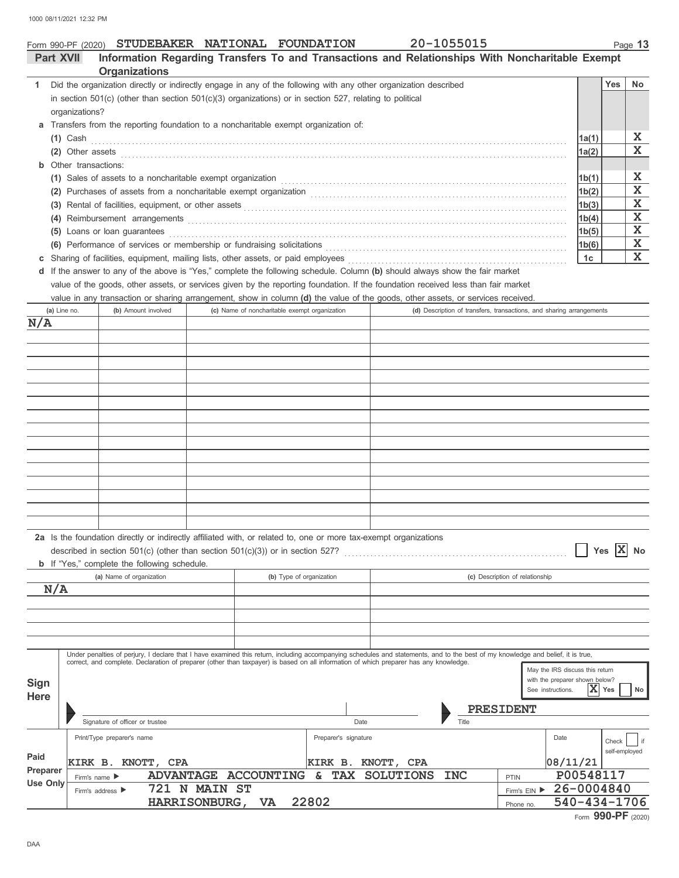# Form 990-PF (2020) **STUDEBAKER NATIONAL FOUNDATION** 20-1055015 **Organizations Part XVII Information Regarding Transfers To and Transactions and Relationships With Noncharitable Exempt**

| Did the organization directly or indirectly engage in any of the following with any other organization described                                                                                        |       | Yes | No. |
|---------------------------------------------------------------------------------------------------------------------------------------------------------------------------------------------------------|-------|-----|-----|
| in section $501(c)$ (other than section $501(c)(3)$ organizations) or in section 527, relating to political                                                                                             |       |     |     |
| organizations?                                                                                                                                                                                          |       |     |     |
| a Transfers from the reporting foundation to a noncharitable exempt organization of:                                                                                                                    |       |     |     |
| $(1)$ Cash                                                                                                                                                                                              | 1a(1) |     | Х   |
| (2) Other assets $\ldots$                                                                                                                                                                               | 1a(2) |     | х   |
| <b>b</b> Other transactions:                                                                                                                                                                            |       |     |     |
| (1) Sales of assets to a noncharitable exempt organization material content of the set of assets to a noncharitable exempt organization                                                                 | 1b(1) |     | X   |
| (2) Purchases of assets from a noncharitable exempt organization [1] [1] [1] Purchases of assets from a noncharitable exempt organization                                                               | 1b(2) |     | X   |
| (3) Rental of facilities, equipment, or other assets                                                                                                                                                    | 1b(3) |     | Х   |
| (4)                                                                                                                                                                                                     | 1b(4) |     | X   |
| Loans or loan guarantees<br>(5)                                                                                                                                                                         | 1b(5) |     | X   |
| (6) Performance of services or membership or fundraising solicitations (a) contains and contain an expansion of services or membership or fundraising solicitations (a) and contain a service of $\sim$ | 1b(6) |     | Х   |
| c Sharing of facilities, equipment, mailing lists, other assets, or paid employees                                                                                                                      | 1c    |     | X   |
|                                                                                                                                                                                                         |       |     |     |

**d** If the answer to any of the above is "Yes," complete the following schedule. Column **(b)** should always show the fair market value of the goods, other assets, or services given by the reporting foundation. If the foundation received less than fair market

value in any transaction or sharing arrangement, show in column **(d)** the value of the goods, other assets, or services received.

| (a) Line no.               | (b) Amount involved                                                                                                                                                                                                                                                                                                       | (c) Name of noncharitable exempt organization |                          |                    |            | (d) Description of transfers, transactions, and sharing arrangements                                     |
|----------------------------|---------------------------------------------------------------------------------------------------------------------------------------------------------------------------------------------------------------------------------------------------------------------------------------------------------------------------|-----------------------------------------------|--------------------------|--------------------|------------|----------------------------------------------------------------------------------------------------------|
| N/A                        |                                                                                                                                                                                                                                                                                                                           |                                               |                          |                    |            |                                                                                                          |
|                            |                                                                                                                                                                                                                                                                                                                           |                                               |                          |                    |            |                                                                                                          |
|                            |                                                                                                                                                                                                                                                                                                                           |                                               |                          |                    |            |                                                                                                          |
|                            |                                                                                                                                                                                                                                                                                                                           |                                               |                          |                    |            |                                                                                                          |
|                            |                                                                                                                                                                                                                                                                                                                           |                                               |                          |                    |            |                                                                                                          |
|                            |                                                                                                                                                                                                                                                                                                                           |                                               |                          |                    |            |                                                                                                          |
|                            |                                                                                                                                                                                                                                                                                                                           |                                               |                          |                    |            |                                                                                                          |
|                            |                                                                                                                                                                                                                                                                                                                           |                                               |                          |                    |            |                                                                                                          |
|                            |                                                                                                                                                                                                                                                                                                                           |                                               |                          |                    |            |                                                                                                          |
|                            |                                                                                                                                                                                                                                                                                                                           |                                               |                          |                    |            |                                                                                                          |
|                            |                                                                                                                                                                                                                                                                                                                           |                                               |                          |                    |            |                                                                                                          |
|                            |                                                                                                                                                                                                                                                                                                                           |                                               |                          |                    |            |                                                                                                          |
|                            |                                                                                                                                                                                                                                                                                                                           |                                               |                          |                    |            |                                                                                                          |
|                            |                                                                                                                                                                                                                                                                                                                           |                                               |                          |                    |            |                                                                                                          |
|                            |                                                                                                                                                                                                                                                                                                                           |                                               |                          |                    |            |                                                                                                          |
|                            |                                                                                                                                                                                                                                                                                                                           |                                               |                          |                    |            |                                                                                                          |
|                            | 2a Is the foundation directly or indirectly affiliated with, or related to, one or more tax-exempt organizations<br><b>b</b> If "Yes," complete the following schedule.                                                                                                                                                   |                                               |                          |                    |            | Yes $ X $<br><b>No</b>                                                                                   |
|                            | (a) Name of organization                                                                                                                                                                                                                                                                                                  |                                               | (b) Type of organization |                    |            | (c) Description of relationship                                                                          |
| N/A                        |                                                                                                                                                                                                                                                                                                                           |                                               |                          |                    |            |                                                                                                          |
|                            |                                                                                                                                                                                                                                                                                                                           |                                               |                          |                    |            |                                                                                                          |
|                            |                                                                                                                                                                                                                                                                                                                           |                                               |                          |                    |            |                                                                                                          |
|                            |                                                                                                                                                                                                                                                                                                                           |                                               |                          |                    |            |                                                                                                          |
|                            |                                                                                                                                                                                                                                                                                                                           |                                               |                          |                    |            |                                                                                                          |
| <b>Sign</b><br><b>Here</b> | Under penalties of perjury, I declare that I have examined this return, including accompanying schedules and statements, and to the best of my knowledge and belief, it is true,<br>correct, and complete. Declaration of preparer (other than taxpayer) is based on all information of which preparer has any knowledge. |                                               |                          |                    |            | May the IRS discuss this return<br>with the preparer shown below?<br>X<br>Yes<br>See instructions.<br>No |
|                            |                                                                                                                                                                                                                                                                                                                           |                                               |                          |                    |            | PRESIDENT                                                                                                |
|                            | Signature of officer or trustee                                                                                                                                                                                                                                                                                           |                                               | Date                     |                    | Title      |                                                                                                          |
|                            | Print/Type preparer's name                                                                                                                                                                                                                                                                                                |                                               | Preparer's signature     |                    |            | Date<br>Check<br>  if<br>self-employed                                                                   |
| Paid                       | KIRK B. KNOTT, CPA                                                                                                                                                                                                                                                                                                        |                                               |                          | KIRK B. KNOTT, CPA |            | 08/11/21                                                                                                 |
| Preparer                   | Firm's name ▶                                                                                                                                                                                                                                                                                                             | ADVANTAGE ACCOUNTING                          | & TAX                    | <b>SOLUTIONS</b>   | <b>INC</b> | P00548117<br>PTIN                                                                                        |
| <b>Use Only</b>            | Firm's address $\blacktriangleright$                                                                                                                                                                                                                                                                                      | 721 N MAIN ST                                 |                          |                    |            | 26-0004840<br>Firm's EIN ▶                                                                               |
|                            |                                                                                                                                                                                                                                                                                                                           | HARRISONBURG,<br><b>VA</b>                    | 22802                    |                    |            | 540-434-1706<br>Phone no.                                                                                |

|  | 20-1055015 |  |  |  |  |
|--|------------|--|--|--|--|
|  |            |  |  |  |  |
|  |            |  |  |  |  |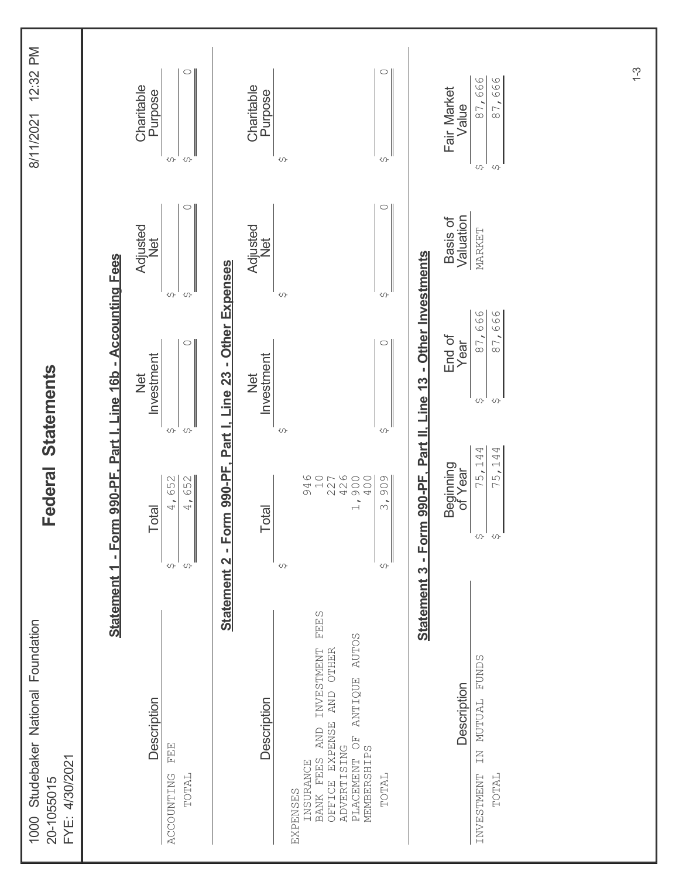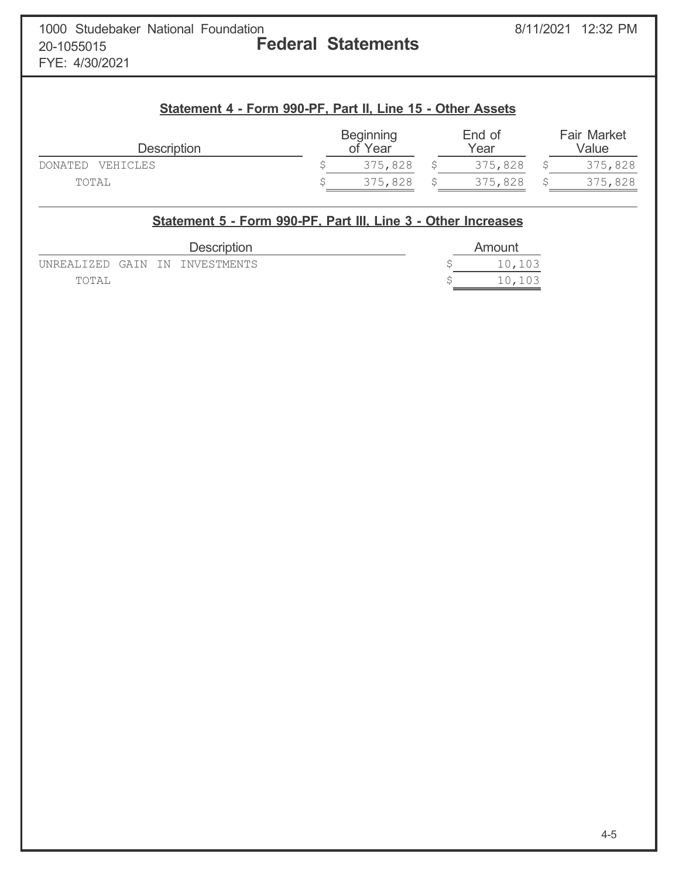FYE: 4/30/2021

# **Statement 4 - Form 990-PF, Part II, Line 15 - Other Assets**

| <b>Description</b>  | <b>Beginning</b><br>of Year | End of<br>Year | <b>Fair Market</b><br>Value |
|---------------------|-----------------------------|----------------|-----------------------------|
| VEHICLES<br>DONATED | 375,828                     | 375,828        | 375,828                     |
| TOTAL               | 375,828                     | 375,828        | 375,828                     |

|       |  | Statement 5 - Form 990-PF, Part III, Line 3 - Other Increases |  |        |
|-------|--|---------------------------------------------------------------|--|--------|
|       |  | <b>Description</b>                                            |  | Amount |
|       |  | UNREALIZED GAIN IN INVESTMENTS                                |  | 10,103 |
| TOTAL |  |                                                               |  | 10,103 |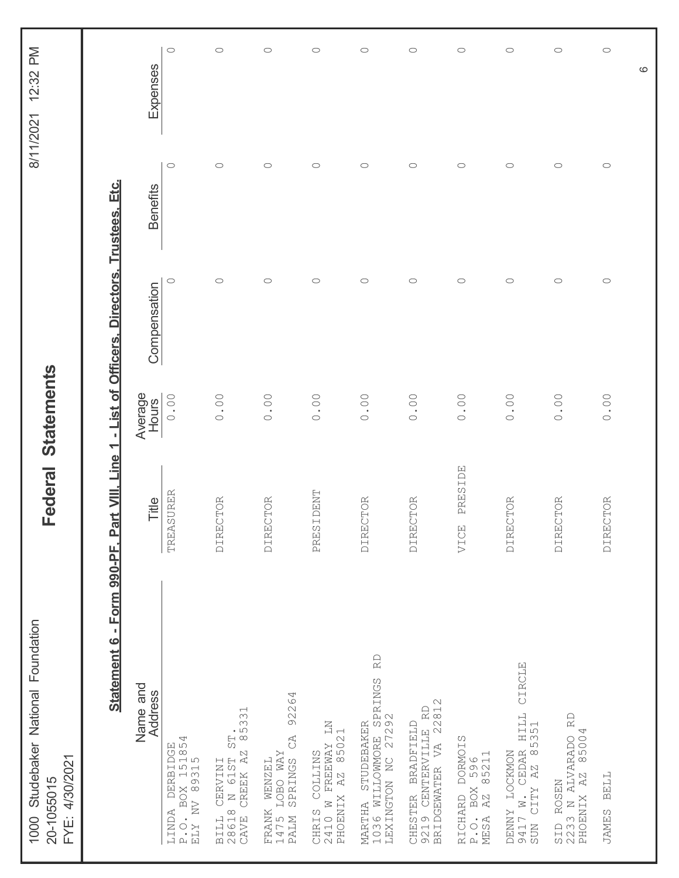| 1000 Studebaker National Foundation<br>FYE: 4/30/2021<br>20-1055015                                   |                   | Federal Statements |                                          |                     | 8/11/2021 12:32 PM  |
|-------------------------------------------------------------------------------------------------------|-------------------|--------------------|------------------------------------------|---------------------|---------------------|
| Statement 6 - Form 990-PF, Part VIII,                                                                 | Line <sub>1</sub> |                    | - List of Officers, Directors, Trustees, | <u>ان</u><br>Etc    |                     |
| Name and<br>Address                                                                                   | Title             | Average<br>Hours   | Compensation                             | <b>Benefits</b>     | Expenses            |
| DERBIDGE<br>BOX 151854<br>V 89315<br>BOX<br>P.O. BO<br>ELY NV<br>LINDA                                | <b>TREASURER</b>  | 0.00               | $\circ$                                  | $\circ$             | $\circ$             |
| ST.<br>85331<br>$\mathbb{A}\mathbb{Z}$<br>CERVINI<br>N 61ST<br>CREEK<br>BILL (<br>CAVE                | DIRECTOR          | 0.00               | $\circ$                                  | $\bigcirc$          | $\circ$             |
| 92264<br>$C\Delta$<br><b><i>IOBO WAY</i></b><br>SPRINGS<br><b>NENZEL</b><br>FRANK<br>1475 1<br>PALM 3 | DIRECTOR          | 0.00               | $\circ$                                  | $\circ$             | $\circlearrowright$ |
| ΣN<br>AZ 85021<br>FREEWAY<br>COLLINS<br>CHRIS CO<br>2410 W F<br>PHOENIX                               | PRESIDENT         | 0.00               | $\circ$                                  | $\circlearrowright$ | $\bigcirc$          |
| $\mathbb R$<br>1036 WILLOWMORE SPRINGS<br>LEXINGTON NC 27292<br>MARTHA STUDEBAKER                     | DIRECTOR          | 0.00               | $\circ$                                  | $\bigcirc$          | $\bigcirc$          |
| CHESTER BRADFIELD<br>9219 CENTERVILLE RD<br>BRIDGEWATER VA 22812                                      | <b>DIRECTOR</b>   | 0.00               | $\circ$                                  | $\bigcirc$          | $\circ$             |
| <b>DORMOIS</b><br>596<br>85211<br>BOX<br>AZ<br>RICHARD<br>P.O.<br>MESA                                | PRESIDE<br>VICE   | 0.00               | $\circ$                                  | $\circ$             | $\circ$             |
| CIRCLE<br>AR HILL<br>85351<br>DENNY LOCKMON<br>9417 W. CEDAR<br>SUN CITY AZ 8                         | <b>DIRECTOR</b>   | 0.00               | $\circ$                                  | $\bigcirc$          | $\circlearrowright$ |
| $\mathbb{R} \mathbb{D}$<br>85004<br>SID ROSEN<br>2233 N ALVARADO F<br>PHOENIX AZ 85004                | DIRECTOR          | 0.00               | $\circ$                                  | $\circlearrowright$ | $\circlearrowright$ |
| <b>BELL</b><br><b>JAMES</b>                                                                           | DIRECTOR          | 0.00               | $\circlearrowright$                      | $\bigcirc$          | $\bigcirc$          |
|                                                                                                       |                   |                    |                                          |                     | $\circ$             |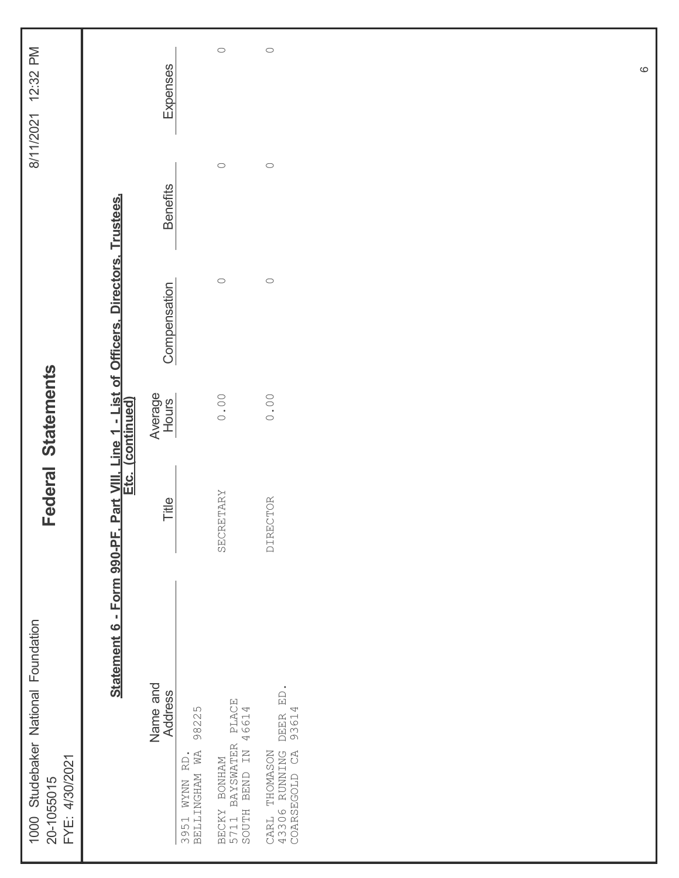| 1000 Studebaker National Foundation<br>FYE: 4/30/2021<br>20-1055015                   |           | Federal Statements |                                                            |                     | 12:32 PM<br>8/11/2021 |
|---------------------------------------------------------------------------------------|-----------|--------------------|------------------------------------------------------------|---------------------|-----------------------|
| Statement 6 - Form 990-PF.                                                            |           | Etc. (continued)   | Part VIII, Line 1 - List of Officers, Directors, Trustees, |                     |                       |
| Name and<br><b>Address</b>                                                            | Title     | Average<br>Hours   | Compensation                                               | <b>Benefits</b>     | Expenses              |
| 98225<br>3951 WYNN RD.<br>BELLINGHAM WA                                               |           |                    |                                                            |                     |                       |
| BAYSWATER PLACE<br>I BEND IN 46614<br>BECKY BONHAM<br>5711 BAYSWATER<br>SOUTH BEND IN | SECRETARY | 0.00               | $\circ$                                                    | $\circlearrowright$ | $\bigcirc$            |
| ED.<br>DEER I<br>93614<br>43306 RUNNING<br>COARSEGOLD CA<br>THOMASON<br>CARL          | DIRECTOR  | 0.00               | $\bigcirc$                                                 | $\circlearrowright$ | $\circ$               |
|                                                                                       |           |                    |                                                            |                     |                       |
|                                                                                       |           |                    |                                                            |                     |                       |
|                                                                                       |           |                    |                                                            |                     |                       |
|                                                                                       |           |                    |                                                            |                     |                       |
|                                                                                       |           |                    |                                                            |                     |                       |
|                                                                                       |           |                    |                                                            |                     |                       |
|                                                                                       |           |                    |                                                            |                     |                       |
|                                                                                       |           |                    |                                                            |                     |                       |

 $\circ$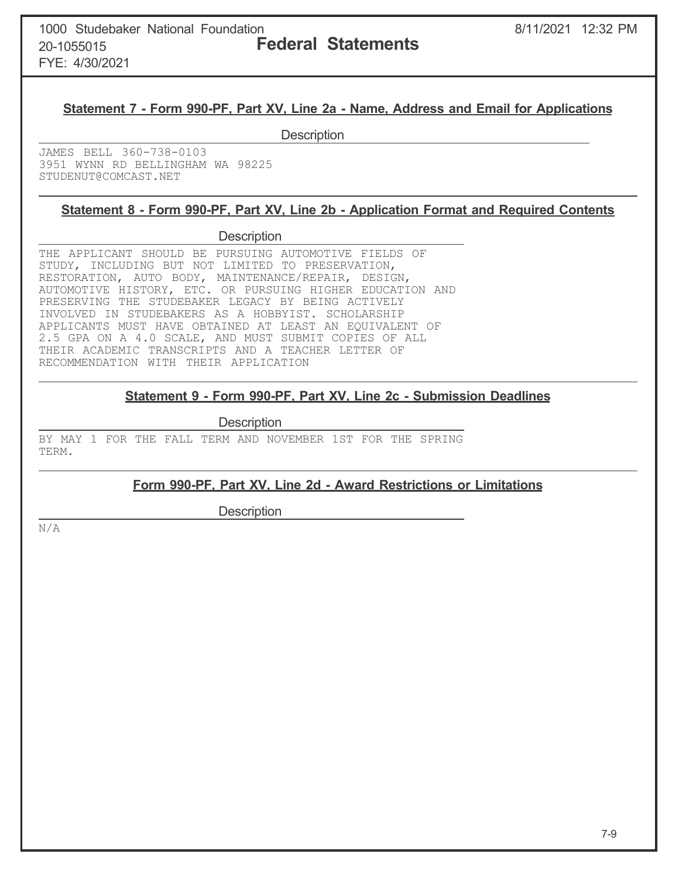FYE: 4/30/2021

## **Statement 7 - Form 990-PF, Part XV, Line 2a - Name, Address and Email for Applications**

**Description** 

JAMES BELL 360-738-0103 3951 WYNN RD BELLINGHAM WA 98225 STUDENUT@COMCAST.NET

## **Statement 8 - Form 990-PF, Part XV, Line 2b - Application Format and Required Contents**

### **Description**

THE APPLICANT SHOULD BE PURSUING AUTOMOTIVE FIELDS OF STUDY, INCLUDING BUT NOT LIMITED TO PRESERVATION, RESTORATION, AUTO BODY, MAINTENANCE/REPAIR, DESIGN, AUTOMOTIVE HISTORY, ETC. OR PURSUING HIGHER EDUCATION AND PRESERVING THE STUDEBAKER LEGACY BY BEING ACTIVELY INVOLVED IN STUDEBAKERS AS A HOBBYIST. SCHOLARSHIP APPLICANTS MUST HAVE OBTAINED AT LEAST AN EQUIVALENT OF 2.5 GPA ON A 4.0 SCALE, AND MUST SUBMIT COPIES OF ALL THEIR ACADEMIC TRANSCRIPTS AND A TEACHER LETTER OF RECOMMENDATION WITH THEIR APPLICATION

# **Statement 9 - Form 990-PF, Part XV, Line 2c - Submission Deadlines**

**Description** 

BY MAY 1 FOR THE FALL TERM AND NOVEMBER 1ST FOR THE SPRING TERM.

## **Form 990-PF, Part XV, Line 2d - Award Restrictions or Limitations**

**Description** 

N/A